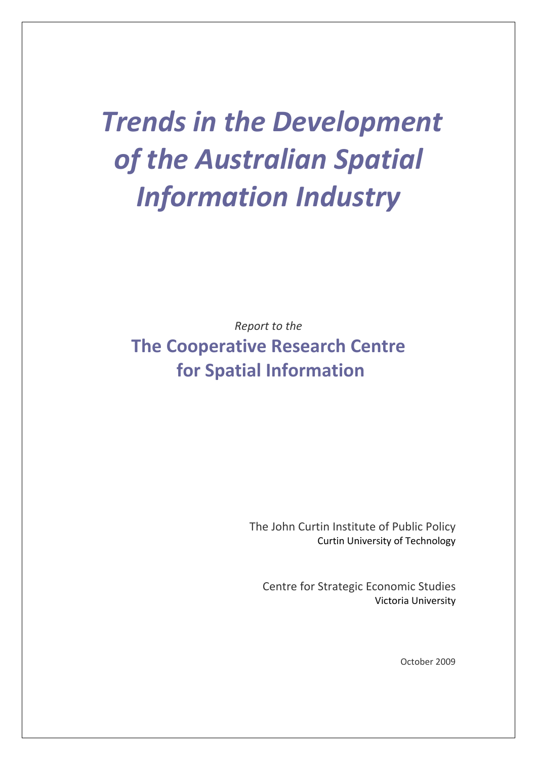# *Trends in the Development of the Australian Spatial Information Industry*

*Report to the* **The Cooperative Research Centre for Spatial Information**

> The John Curtin Institute of Public Policy Curtin University of Technology

Centre for Strategic Economic Studies Victoria University

October 2009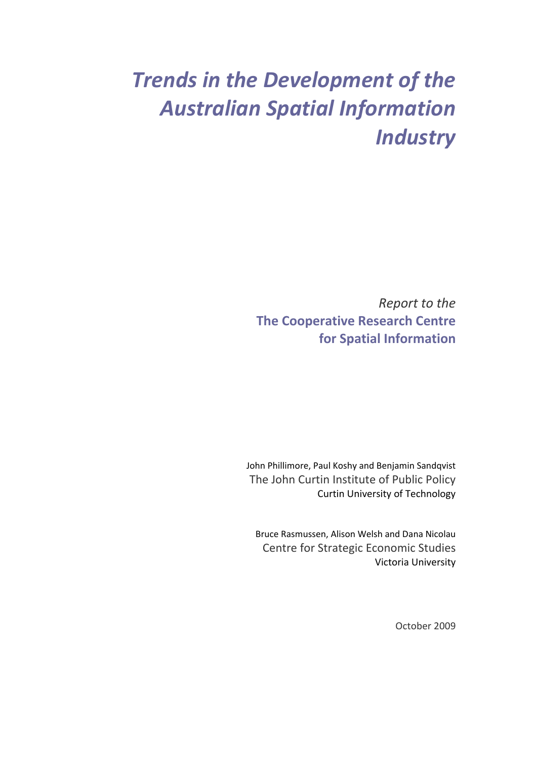## *Trends in the Development of the Australian Spatial Information Industry*

*Report to the* **The Cooperative Research Centre for Spatial Information**

John Phillimore, Paul Koshy and Benjamin Sandqvist The John Curtin Institute of Public Policy Curtin University of Technology

Bruce Rasmussen, Alison Welsh and Dana Nicolau Centre for Strategic Economic Studies Victoria University

October 2009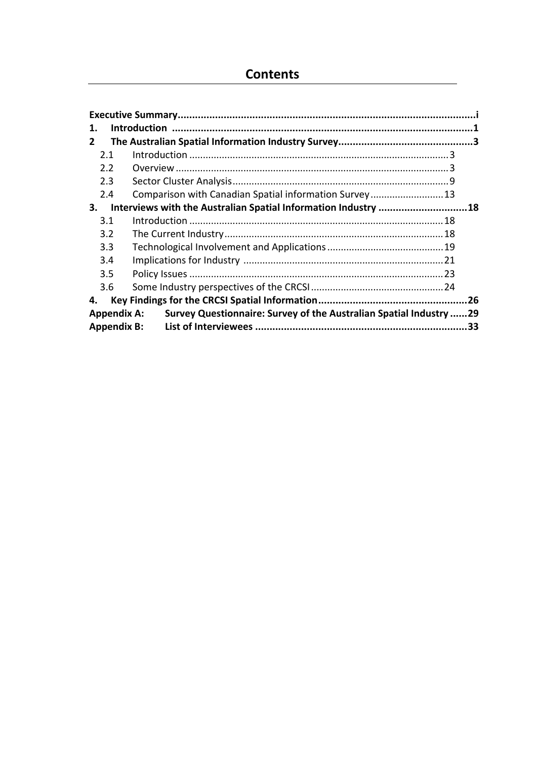### **Contents**

| 1.            |                                                                                          |  |
|---------------|------------------------------------------------------------------------------------------|--|
| 2             |                                                                                          |  |
| 2.1           |                                                                                          |  |
| $2.2^{\circ}$ |                                                                                          |  |
| 2.3           |                                                                                          |  |
| 2.4           | Comparison with Canadian Spatial information Survey13                                    |  |
| 3.            | Interviews with the Australian Spatial Information Industry 18                           |  |
| 3.1           |                                                                                          |  |
| 3.2           |                                                                                          |  |
| 3.3           |                                                                                          |  |
| 3.4           |                                                                                          |  |
| 3.5           |                                                                                          |  |
| 3.6           |                                                                                          |  |
| 4.            |                                                                                          |  |
|               | Survey Questionnaire: Survey of the Australian Spatial Industry 29<br><b>Appendix A:</b> |  |
|               |                                                                                          |  |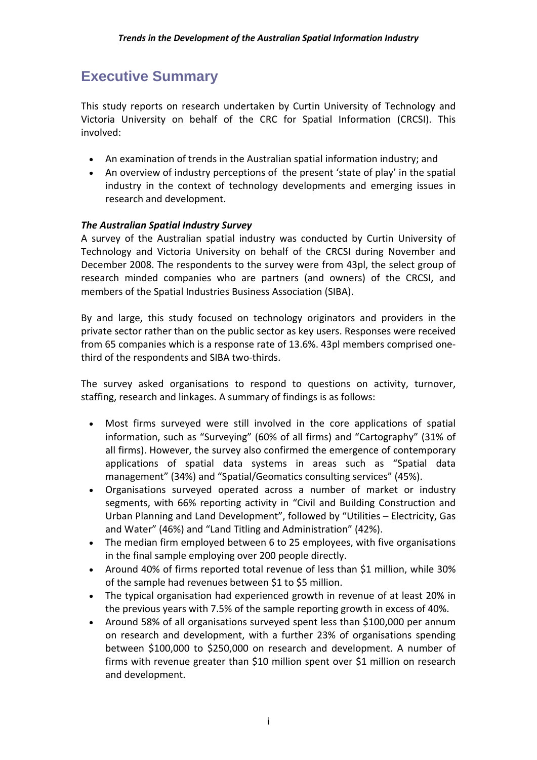## **Executive Summary**

This study reports on research undertaken by Curtin University of Technology and Victoria University on behalf of the CRC for Spatial Information (CRCSI). This involved:

- An examination of trends in the Australian spatial information industry; and
- An overview of industry perceptions of the present 'state of play' in the spatial industry in the context of technology developments and emerging issues in research and development.

#### *The Australian Spatial Industry Survey*

A survey of the Australian spatial industry was conducted by Curtin University of Technology and Victoria University on behalf of the CRCSI during November and December 2008. The respondents to the survey were from 43pl, the select group of research minded companies who are partners (and owners) of the CRCSI, and members of the Spatial Industries Business Association (SIBA).

By and large, this study focused on technology originators and providers in the private sector rather than on the public sector as key users. Responses were received from 65 companies which is a response rate of 13.6%. 43pl members comprised one‐ third of the respondents and SIBA two‐thirds.

The survey asked organisations to respond to questions on activity, turnover, staffing, research and linkages. A summary of findings is as follows:

- Most firms surveyed were still involved in the core applications of spatial information, such as "Surveying" (60% of all firms) and "Cartography" (31% of all firms). However, the survey also confirmed the emergence of contemporary applications of spatial data systems in areas such as "Spatial data management" (34%) and "Spatial/Geomatics consulting services" (45%).
- Organisations surveyed operated across a number of market or industry segments, with 66% reporting activity in "Civil and Building Construction and Urban Planning and Land Development", followed by "Utilities – Electricity, Gas and Water" (46%) and "Land Titling and Administration" (42%).
- The median firm employed between 6 to 25 employees, with five organisations in the final sample employing over 200 people directly.
- Around 40% of firms reported total revenue of less than \$1 million, while 30% of the sample had revenues between \$1 to \$5 million.
- The typical organisation had experienced growth in revenue of at least 20% in the previous years with 7.5% of the sample reporting growth in excess of 40%.
- Around 58% of all organisations surveyed spent less than \$100,000 per annum on research and development, with a further 23% of organisations spending between \$100,000 to \$250,000 on research and development. A number of firms with revenue greater than \$10 million spent over \$1 million on research and development.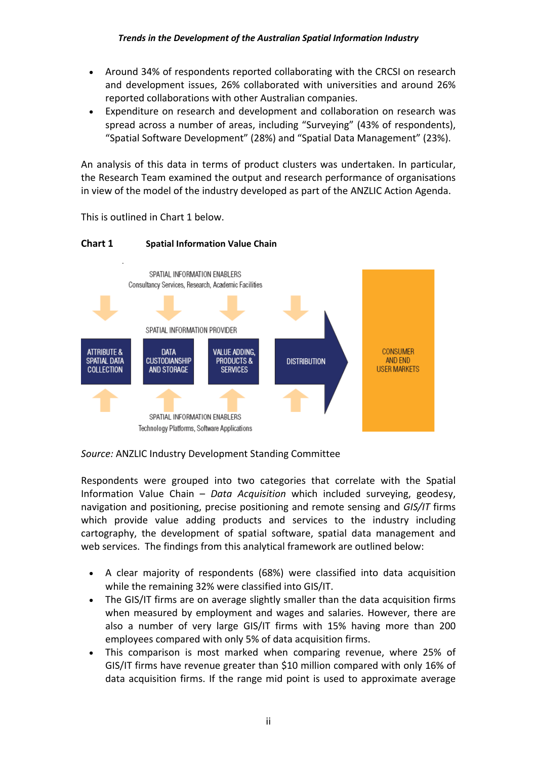- Around 34% of respondents reported collaborating with the CRCSI on research and development issues, 26% collaborated with universities and around 26% reported collaborations with other Australian companies.
- Expenditure on research and development and collaboration on research was spread across a number of areas, including "Surveying" (43% of respondents), "Spatial Software Development" (28%) and "Spatial Data Management" (23%).

An analysis of this data in terms of product clusters was undertaken. In particular, the Research Team examined the output and research performance of organisations in view of the model of the industry developed as part of the ANZLIC Action Agenda.



This is outlined in Chart 1 below.

**Chart 1 Spatial Information Value Chain**

*Source:* ANZLIC Industry Development Standing Committee

Respondents were grouped into two categories that correlate with the Spatial Information Value Chain – *Data Acquisition* which included surveying, geodesy, navigation and positioning, precise positioning and remote sensing and *GIS/IT* firms which provide value adding products and services to the industry including cartography, the development of spatial software, spatial data management and web services. The findings from this analytical framework are outlined below:

- A clear majority of respondents (68%) were classified into data acquisition while the remaining 32% were classified into GIS/IT.
- The GIS/IT firms are on average slightly smaller than the data acquisition firms when measured by employment and wages and salaries. However, there are also a number of very large GIS/IT firms with 15% having more than 200 employees compared with only 5% of data acquisition firms.
- This comparison is most marked when comparing revenue, where 25% of GIS/IT firms have revenue greater than \$10 million compared with only 16% of data acquisition firms. If the range mid point is used to approximate average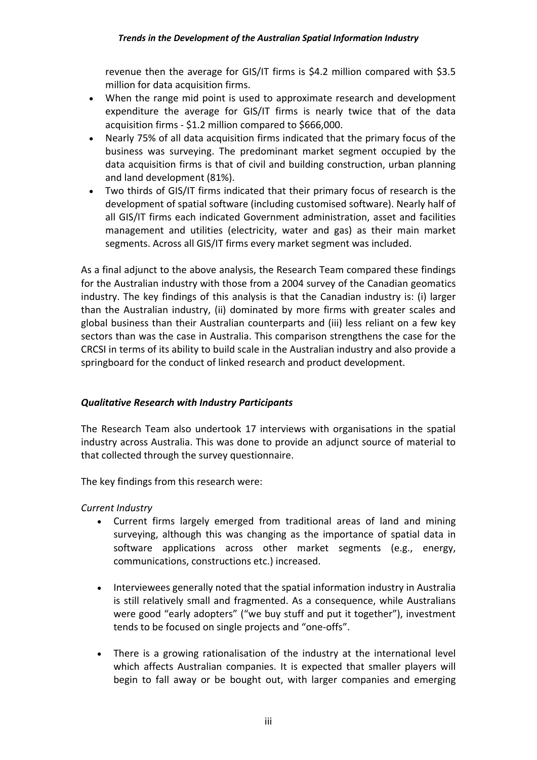revenue then the average for GIS/IT firms is \$4.2 million compared with \$3.5 million for data acquisition firms.

- When the range mid point is used to approximate research and development expenditure the average for GIS/IT firms is nearly twice that of the data acquisition firms ‐ \$1.2 million compared to \$666,000.
- Nearly 75% of all data acquisition firms indicated that the primary focus of the business was surveying. The predominant market segment occupied by the data acquisition firms is that of civil and building construction, urban planning and land development (81%).
- Two thirds of GIS/IT firms indicated that their primary focus of research is the development of spatial software (including customised software). Nearly half of all GIS/IT firms each indicated Government administration, asset and facilities management and utilities (electricity, water and gas) as their main market segments. Across all GIS/IT firms every market segment was included.

As a final adjunct to the above analysis, the Research Team compared these findings for the Australian industry with those from a 2004 survey of the Canadian geomatics industry. The key findings of this analysis is that the Canadian industry is: (i) larger than the Australian industry, (ii) dominated by more firms with greater scales and global business than their Australian counterparts and (iii) less reliant on a few key sectors than was the case in Australia. This comparison strengthens the case for the CRCSI in terms of its ability to build scale in the Australian industry and also provide a springboard for the conduct of linked research and product development.

#### *Qualitative Research with Industry Participants*

The Research Team also undertook 17 interviews with organisations in the spatial industry across Australia. This was done to provide an adjunct source of material to that collected through the survey questionnaire.

The key findings from this research were:

*Current Industry*

- Current firms largely emerged from traditional areas of land and mining surveying, although this was changing as the importance of spatial data in software applications across other market segments (e.g., energy, communications, constructions etc.) increased.
- Interviewees generally noted that the spatial information industry in Australia is still relatively small and fragmented. As a consequence, while Australians were good "early adopters" ("we buy stuff and put it together"), investment tends to be focused on single projects and "one‐offs".
- There is a growing rationalisation of the industry at the international level which affects Australian companies. It is expected that smaller players will begin to fall away or be bought out, with larger companies and emerging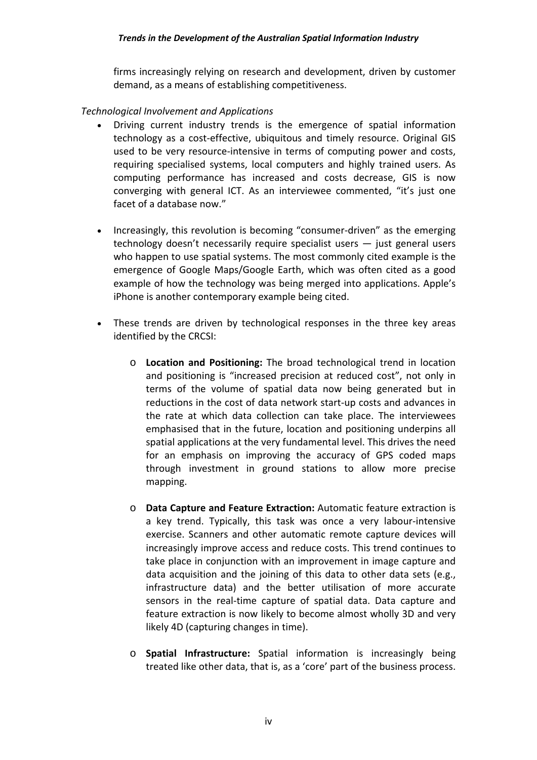firms increasingly relying on research and development, driven by customer demand, as a means of establishing competitiveness.

#### *Technological Involvement and Applications*

- Driving current industry trends is the emergence of spatial information technology as a cost‐effective, ubiquitous and timely resource. Original GIS used to be very resource‐intensive in terms of computing power and costs, requiring specialised systems, local computers and highly trained users. As computing performance has increased and costs decrease, GIS is now converging with general ICT. As an interviewee commented, "it's just one facet of a database now."
- Increasingly, this revolution is becoming "consumer-driven" as the emerging technology doesn't necessarily require specialist users — just general users who happen to use spatial systems. The most commonly cited example is the emergence of Google Maps/Google Earth, which was often cited as a good example of how the technology was being merged into applications. Apple's iPhone is another contemporary example being cited.
- These trends are driven by technological responses in the three key areas identified by the CRCSI:
	- o **Location and Positioning:** The broad technological trend in location and positioning is "increased precision at reduced cost", not only in terms of the volume of spatial data now being generated but in reductions in the cost of data network start‐up costs and advances in the rate at which data collection can take place. The interviewees emphasised that in the future, location and positioning underpins all spatial applications at the very fundamental level. This drives the need for an emphasis on improving the accuracy of GPS coded maps through investment in ground stations to allow more precise mapping.
	- o **Data Capture and Feature Extraction:** Automatic feature extraction is a key trend. Typically, this task was once a very labour‐intensive exercise. Scanners and other automatic remote capture devices will increasingly improve access and reduce costs. This trend continues to take place in conjunction with an improvement in image capture and data acquisition and the joining of this data to other data sets (e.g., infrastructure data) and the better utilisation of more accurate sensors in the real-time capture of spatial data. Data capture and feature extraction is now likely to become almost wholly 3D and very likely 4D (capturing changes in time).
	- o **Spatial Infrastructure:** Spatial information is increasingly being treated like other data, that is, as a 'core' part of the business process.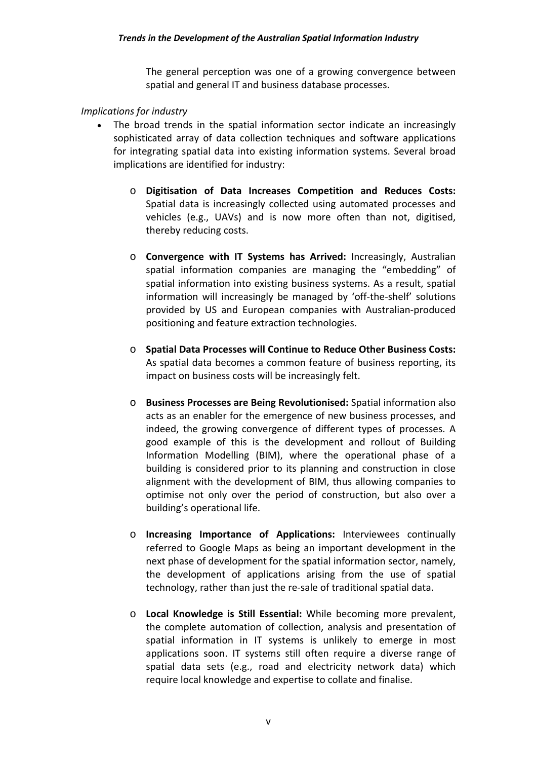The general perception was one of a growing convergence between spatial and general IT and business database processes.

#### *Implications for industry*

- The broad trends in the spatial information sector indicate an increasingly sophisticated array of data collection techniques and software applications for integrating spatial data into existing information systems. Several broad implications are identified for industry:
	- o **Digitisation of Data Increases Competition and Reduces Costs:** Spatial data is increasingly collected using automated processes and vehicles (e.g., UAVs) and is now more often than not, digitised, thereby reducing costs.
	- o **Convergence with IT Systems has Arrived:** Increasingly, Australian spatial information companies are managing the "embedding" of spatial information into existing business systems. As a result, spatial information will increasingly be managed by 'off‐the‐shelf' solutions provided by US and European companies with Australian‐produced positioning and feature extraction technologies.
	- o **Spatial Data Processes will Continue to Reduce Other Business Costs:** As spatial data becomes a common feature of business reporting, its impact on business costs will be increasingly felt.
	- o **Business Processes are Being Revolutionised:** Spatial information also acts as an enabler for the emergence of new business processes, and indeed, the growing convergence of different types of processes. A good example of this is the development and rollout of Building Information Modelling (BIM), where the operational phase of a building is considered prior to its planning and construction in close alignment with the development of BIM, thus allowing companies to optimise not only over the period of construction, but also over a building's operational life.
	- o **Increasing Importance of Applications:** Interviewees continually referred to Google Maps as being an important development in the next phase of development for the spatial information sector, namely, the development of applications arising from the use of spatial technology, rather than just the re‐sale of traditional spatial data.
	- o **Local Knowledge is Still Essential:** While becoming more prevalent, the complete automation of collection, analysis and presentation of spatial information in IT systems is unlikely to emerge in most applications soon. IT systems still often require a diverse range of spatial data sets (e.g., road and electricity network data) which require local knowledge and expertise to collate and finalise.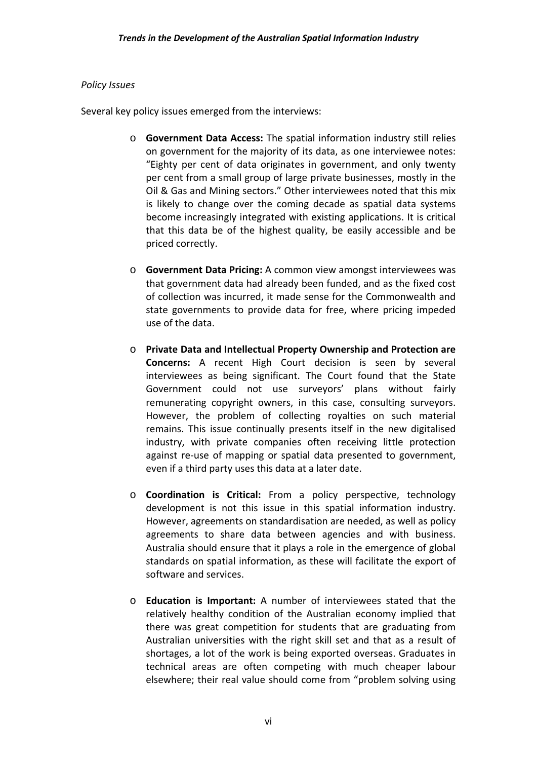#### *Policy Issues*

Several key policy issues emerged from the interviews:

- o **Government Data Access:** The spatial information industry still relies on government for the majority of its data, as one interviewee notes: "Eighty per cent of data originates in government, and only twenty per cent from a small group of large private businesses, mostly in the Oil & Gas and Mining sectors." Other interviewees noted that this mix is likely to change over the coming decade as spatial data systems become increasingly integrated with existing applications. It is critical that this data be of the highest quality, be easily accessible and be priced correctly.
- o **Government Data Pricing:** A common view amongst interviewees was that government data had already been funded, and as the fixed cost of collection was incurred, it made sense for the Commonwealth and state governments to provide data for free, where pricing impeded use of the data.
- o **Private Data and Intellectual Property Ownership and Protection are Concerns:** A recent High Court decision is seen by several interviewees as being significant. The Court found that the State Government could not use surveyors' plans without fairly remunerating copyright owners, in this case, consulting surveyors. However, the problem of collecting royalties on such material remains. This issue continually presents itself in the new digitalised industry, with private companies often receiving little protection against re-use of mapping or spatial data presented to government, even if a third party uses this data at a later date.
- o **Coordination is Critical:** From a policy perspective, technology development is not this issue in this spatial information industry. However, agreements on standardisation are needed, as well as policy agreements to share data between agencies and with business. Australia should ensure that it plays a role in the emergence of global standards on spatial information, as these will facilitate the export of software and services.
- o **Education is Important:** A number of interviewees stated that the relatively healthy condition of the Australian economy implied that there was great competition for students that are graduating from Australian universities with the right skill set and that as a result of shortages, a lot of the work is being exported overseas. Graduates in technical areas are often competing with much cheaper labour elsewhere; their real value should come from "problem solving using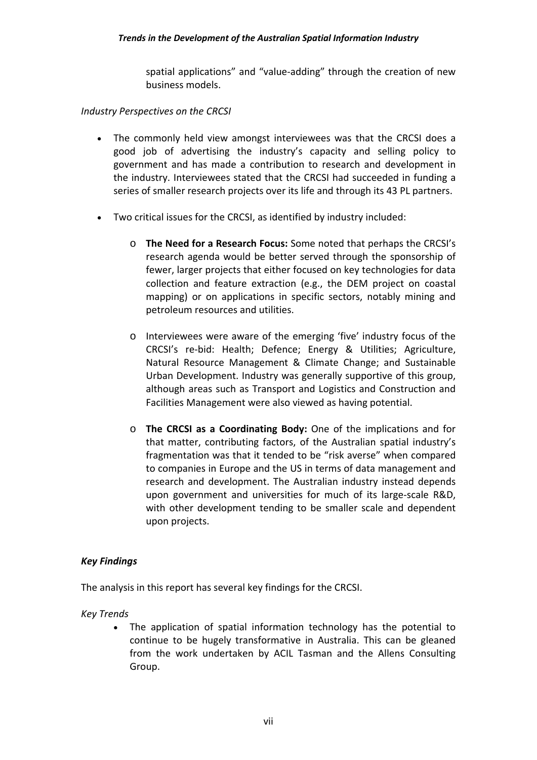spatial applications" and "value-adding" through the creation of new business models.

#### *Industry Perspectives on the CRCSI*

- The commonly held view amongst interviewees was that the CRCSI does a good job of advertising the industry's capacity and selling policy to government and has made a contribution to research and development in the industry. Interviewees stated that the CRCSI had succeeded in funding a series of smaller research projects over its life and through its 43 PL partners.
- Two critical issues for the CRCSI, as identified by industry included:
	- o **The Need for a Research Focus:** Some noted that perhaps the CRCSI's research agenda would be better served through the sponsorship of fewer, larger projects that either focused on key technologies for data collection and feature extraction (e.g., the DEM project on coastal mapping) or on applications in specific sectors, notably mining and petroleum resources and utilities.
	- o Interviewees were aware of the emerging 'five' industry focus of the CRCSI's re‐bid: Health; Defence; Energy & Utilities; Agriculture, Natural Resource Management & Climate Change; and Sustainable Urban Development. Industry was generally supportive of this group, although areas such as Transport and Logistics and Construction and Facilities Management were also viewed as having potential.
	- o **The CRCSI as a Coordinating Body:** One of the implications and for that matter, contributing factors, of the Australian spatial industry's fragmentation was that it tended to be "risk averse" when compared to companies in Europe and the US in terms of data management and research and development. The Australian industry instead depends upon government and universities for much of its large-scale R&D, with other development tending to be smaller scale and dependent upon projects.

#### *Key Findings*

The analysis in this report has several key findings for the CRCSI.

*Key Trends* 

 The application of spatial information technology has the potential to continue to be hugely transformative in Australia. This can be gleaned from the work undertaken by ACIL Tasman and the Allens Consulting Group.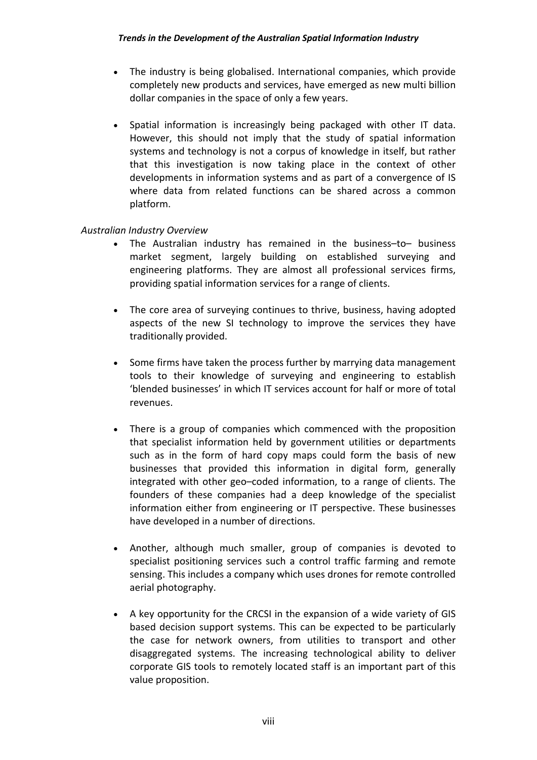- The industry is being globalised. International companies, which provide completely new products and services, have emerged as new multi billion dollar companies in the space of only a few years.
- Spatial information is increasingly being packaged with other IT data. However, this should not imply that the study of spatial information systems and technology is not a corpus of knowledge in itself, but rather that this investigation is now taking place in the context of other developments in information systems and as part of a convergence of IS where data from related functions can be shared across a common platform.

#### *Australian Industry Overview*

- The Australian industry has remained in the business–to– business market segment, largely building on established surveying and engineering platforms. They are almost all professional services firms, providing spatial information services for a range of clients.
- The core area of surveying continues to thrive, business, having adopted aspects of the new SI technology to improve the services they have traditionally provided.
- Some firms have taken the process further by marrying data management tools to their knowledge of surveying and engineering to establish 'blended businesses' in which IT services account for half or more of total revenues.
- There is a group of companies which commenced with the proposition that specialist information held by government utilities or departments such as in the form of hard copy maps could form the basis of new businesses that provided this information in digital form, generally integrated with other geo–coded information, to a range of clients. The founders of these companies had a deep knowledge of the specialist information either from engineering or IT perspective. These businesses have developed in a number of directions.
- Another, although much smaller, group of companies is devoted to specialist positioning services such a control traffic farming and remote sensing. This includes a company which uses drones for remote controlled aerial photography.
- A key opportunity for the CRCSI in the expansion of a wide variety of GIS based decision support systems. This can be expected to be particularly the case for network owners, from utilities to transport and other disaggregated systems. The increasing technological ability to deliver corporate GIS tools to remotely located staff is an important part of this value proposition.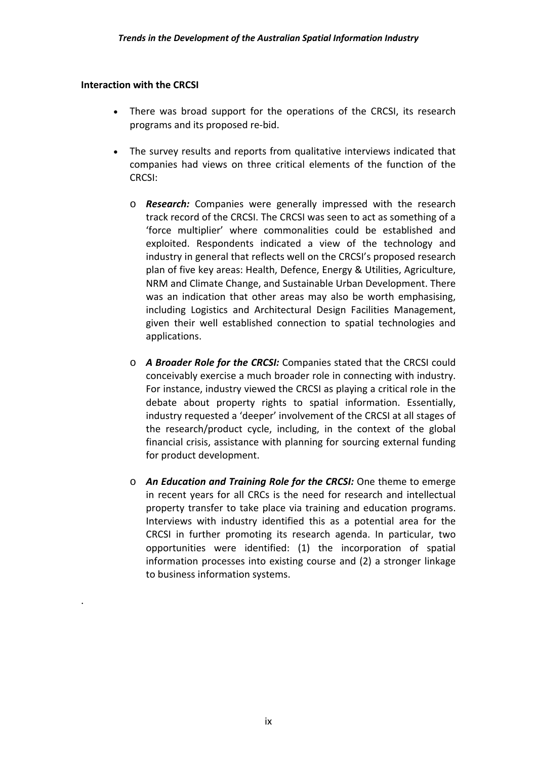#### **Interaction with the CRCSI**

.

- There was broad support for the operations of the CRCSI, its research programs and its proposed re‐bid.
- The survey results and reports from qualitative interviews indicated that companies had views on three critical elements of the function of the CRCSI:
	- o *Research:* Companies were generally impressed with the research track record of the CRCSI. The CRCSI was seen to act as something of a 'force multiplier' where commonalities could be established and exploited. Respondents indicated a view of the technology and industry in general that reflects well on the CRCSI's proposed research plan of five key areas: Health, Defence, Energy & Utilities, Agriculture, NRM and Climate Change, and Sustainable Urban Development. There was an indication that other areas may also be worth emphasising, including Logistics and Architectural Design Facilities Management, given their well established connection to spatial technologies and applications.
	- o *A Broader Role for the CRCSI:* Companies stated that the CRCSI could conceivably exercise a much broader role in connecting with industry. For instance, industry viewed the CRCSI as playing a critical role in the debate about property rights to spatial information. Essentially, industry requested a 'deeper' involvement of the CRCSI at all stages of the research/product cycle, including, in the context of the global financial crisis, assistance with planning for sourcing external funding for product development.
	- o *An Education and Training Role for the CRCSI:* One theme to emerge in recent years for all CRCs is the need for research and intellectual property transfer to take place via training and education programs. Interviews with industry identified this as a potential area for the CRCSI in further promoting its research agenda. In particular, two opportunities were identified: (1) the incorporation of spatial information processes into existing course and (2) a stronger linkage to business information systems.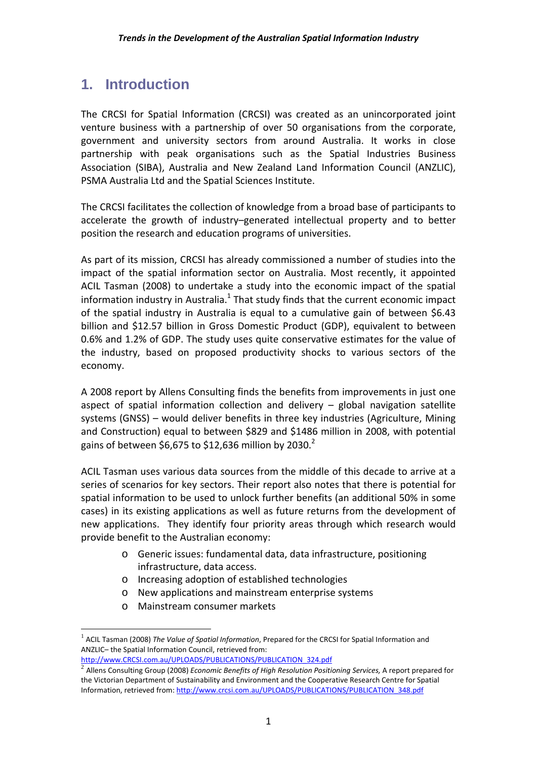## **1. Introduction**

The CRCSI for Spatial Information (CRCSI) was created as an unincorporated joint venture business with a partnership of over 50 organisations from the corporate, government and university sectors from around Australia. It works in close partnership with peak organisations such as the Spatial Industries Business Association (SIBA), Australia and New Zealand Land Information Council (ANZLIC), PSMA Australia Ltd and the Spatial Sciences Institute.

The CRCSI facilitates the collection of knowledge from a broad base of participants to accelerate the growth of industry–generated intellectual property and to better position the research and education programs of universities.

As part of its mission, CRCSI has already commissioned a number of studies into the impact of the spatial information sector on Australia. Most recently, it appointed ACIL Tasman (2008) to undertake a study into the economic impact of the spatial information industry in Australia. $<sup>1</sup>$  That study finds that the current economic impact</sup> of the spatial industry in Australia is equal to a cumulative gain of between \$6.43 billion and \$12.57 billion in Gross Domestic Product (GDP), equivalent to between 0.6% and 1.2% of GDP. The study uses quite conservative estimates for the value of the industry, based on proposed productivity shocks to various sectors of the economy.

A 2008 report by Allens Consulting finds the benefits from improvements in just one aspect of spatial information collection and delivery – global navigation satellite systems (GNSS) – would deliver benefits in three key industries (Agriculture, Mining and Construction) equal to between \$829 and \$1486 million in 2008, with potential gains of between \$6,675 to \$12,636 million by 2030.<sup>2</sup>

ACIL Tasman uses various data sources from the middle of this decade to arrive at a series of scenarios for key sectors. Their report also notes that there is potential for spatial information to be used to unlock further benefits (an additional 50% in some cases) in its existing applications as well as future returns from the development of new applications. They identify four priority areas through which research would provide benefit to the Australian economy:

- o Generic issues: fundamental data, data infrastructure, positioning infrastructure, data access.
- o Increasing adoption of established technologies
- o New applications and mainstream enterprise systems
- o Mainstream consumer markets

 $\overline{a}$ 

<sup>1</sup> ACIL Tasman (2008) *The Value of Spatial Information*, Prepared for the CRCSI for Spatial Information and ANZLIC– the Spatial Information Council, retrieved from: http://www.CRCSI.com.au/UPLOADS/PUBLICATIONS/PUBLICATION 324.pdf<br>
<sup>2</sup> Allens Consulting Group (2008) *Economic Benefits of High Resolution Positioning Services*, A report prepared for

the Victorian Department of Sustainability and Environment and the Cooperative Research Centre for Spatial Information, retrieved from: http://www.crcsi.com.au/UPLOADS/PUBLICATIONS/PUBLICATION\_348.pdf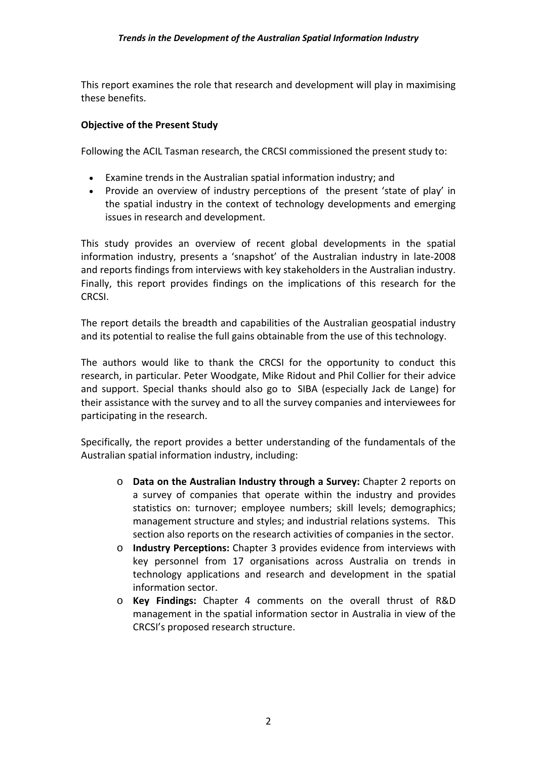This report examines the role that research and development will play in maximising these benefits.

#### **Objective of the Present Study**

Following the ACIL Tasman research, the CRCSI commissioned the present study to:

- Examine trends in the Australian spatial information industry; and
- Provide an overview of industry perceptions of the present 'state of play' in the spatial industry in the context of technology developments and emerging issues in research and development.

This study provides an overview of recent global developments in the spatial information industry, presents a 'snapshot' of the Australian industry in late‐2008 and reports findings from interviews with key stakeholders in the Australian industry. Finally, this report provides findings on the implications of this research for the CRCSI.

The report details the breadth and capabilities of the Australian geospatial industry and its potential to realise the full gains obtainable from the use of this technology.

The authors would like to thank the CRCSI for the opportunity to conduct this research, in particular. Peter Woodgate, Mike Ridout and Phil Collier for their advice and support. Special thanks should also go to SIBA (especially Jack de Lange) for their assistance with the survey and to all the survey companies and interviewees for participating in the research.

Specifically, the report provides a better understanding of the fundamentals of the Australian spatial information industry, including:

- o **Data on the Australian Industry through a Survey:** Chapter 2 reports on a survey of companies that operate within the industry and provides statistics on: turnover; employee numbers; skill levels; demographics; management structure and styles; and industrial relations systems. This section also reports on the research activities of companies in the sector.
- o **Industry Perceptions:** Chapter 3 provides evidence from interviews with key personnel from 17 organisations across Australia on trends in technology applications and research and development in the spatial information sector.
- o **Key Findings:** Chapter 4 comments on the overall thrust of R&D management in the spatial information sector in Australia in view of the CRCSI's proposed research structure.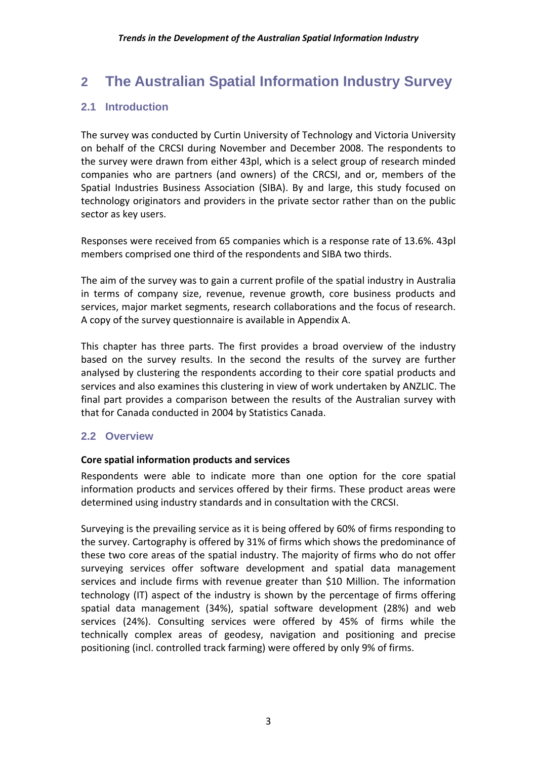## **2 The Australian Spatial Information Industry Survey**

#### **2.1 Introduction**

The survey was conducted by Curtin University of Technology and Victoria University on behalf of the CRCSI during November and December 2008. The respondents to the survey were drawn from either 43pl, which is a select group of research minded companies who are partners (and owners) of the CRCSI, and or, members of the Spatial Industries Business Association (SIBA). By and large, this study focused on technology originators and providers in the private sector rather than on the public sector as key users.

Responses were received from 65 companies which is a response rate of 13.6%. 43pl members comprised one third of the respondents and SIBA two thirds.

The aim of the survey was to gain a current profile of the spatial industry in Australia in terms of company size, revenue, revenue growth, core business products and services, major market segments, research collaborations and the focus of research. A copy of the survey questionnaire is available in Appendix A.

This chapter has three parts. The first provides a broad overview of the industry based on the survey results. In the second the results of the survey are further analysed by clustering the respondents according to their core spatial products and services and also examines this clustering in view of work undertaken by ANZLIC. The final part provides a comparison between the results of the Australian survey with that for Canada conducted in 2004 by Statistics Canada.

#### **2.2 Overview**

#### **Core spatial information products and services**

Respondents were able to indicate more than one option for the core spatial information products and services offered by their firms. These product areas were determined using industry standards and in consultation with the CRCSI.

Surveying is the prevailing service as it is being offered by 60% of firms responding to the survey. Cartography is offered by 31% of firms which shows the predominance of these two core areas of the spatial industry. The majority of firms who do not offer surveying services offer software development and spatial data management services and include firms with revenue greater than \$10 Million. The information technology (IT) aspect of the industry is shown by the percentage of firms offering spatial data management (34%), spatial software development (28%) and web services (24%). Consulting services were offered by 45% of firms while the technically complex areas of geodesy, navigation and positioning and precise positioning (incl. controlled track farming) were offered by only 9% of firms.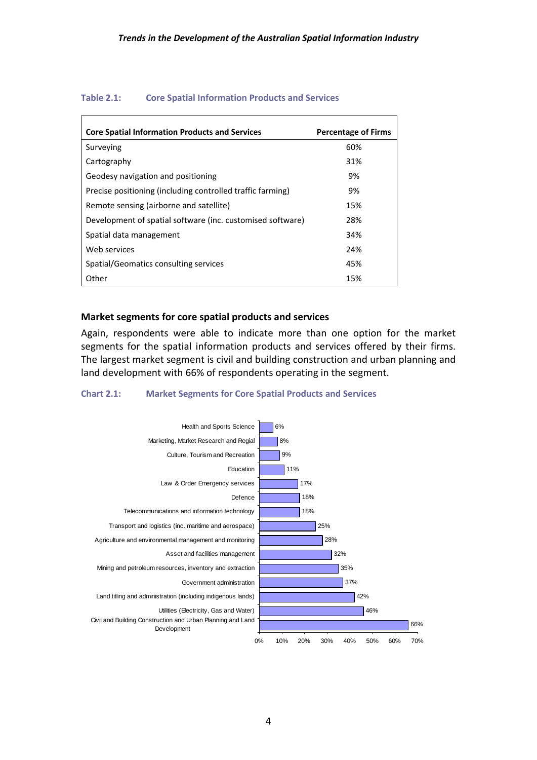| <b>Core Spatial Information Products and Services</b>      | <b>Percentage of Firms</b> |
|------------------------------------------------------------|----------------------------|
| Surveying                                                  | 60%                        |
| Cartography                                                | 31%                        |
| Geodesy navigation and positioning                         | 9%                         |
| Precise positioning (including controlled traffic farming) | 9%                         |
| Remote sensing (airborne and satellite)                    | 15%                        |
| Development of spatial software (inc. customised software) | 28%                        |
| Spatial data management                                    | 34%                        |
| Web services                                               | 24%                        |
| Spatial/Geomatics consulting services                      | 45%                        |
| Other                                                      | 15%                        |

#### **Table 2.1: Core Spatial Information Products and Services**

#### **Market segments for core spatial products and services**

Again, respondents were able to indicate more than one option for the market segments for the spatial information products and services offered by their firms. The largest market segment is civil and building construction and urban planning and land development with 66% of respondents operating in the segment.

#### **Chart 2.1: Market Segments for Core Spatial Products and Services**

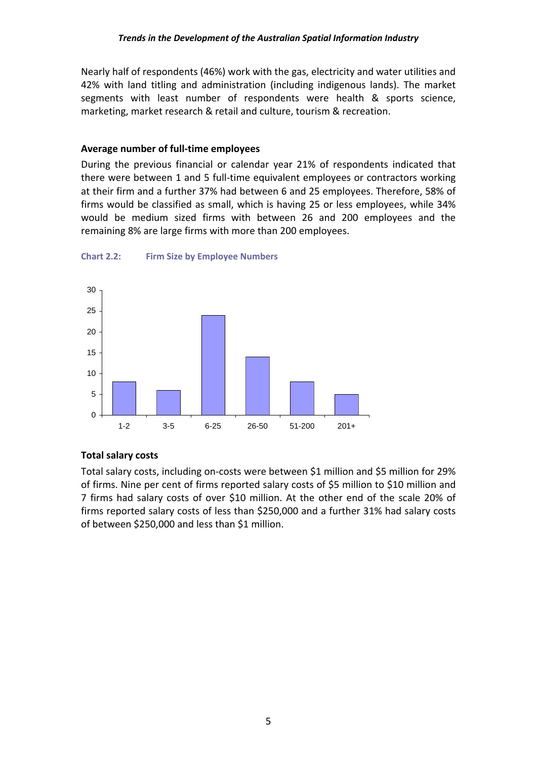Nearly half of respondents (46%) work with the gas, electricity and water utilities and 42% with land titling and administration (including indigenous lands). The market segments with least number of respondents were health & sports science, marketing, market research & retail and culture, tourism & recreation.

#### **Average number of full‐time employees**

During the previous financial or calendar year 21% of respondents indicated that there were between 1 and 5 full‐time equivalent employees or contractors working at their firm and a further 37% had between 6 and 25 employees. Therefore, 58% of firms would be classified as small, which is having 25 or less employees, while 34% would be medium sized firms with between 26 and 200 employees and the remaining 8% are large firms with more than 200 employees.



**Chart 2.2: Firm Size by Employee Numbers**

#### **Total salary costs**

Total salary costs, including on‐costs were between \$1 million and \$5 million for 29% of firms. Nine per cent of firms reported salary costs of \$5 million to \$10 million and 7 firms had salary costs of over \$10 million. At the other end of the scale 20% of firms reported salary costs of less than \$250,000 and a further 31% had salary costs of between \$250,000 and less than \$1 million.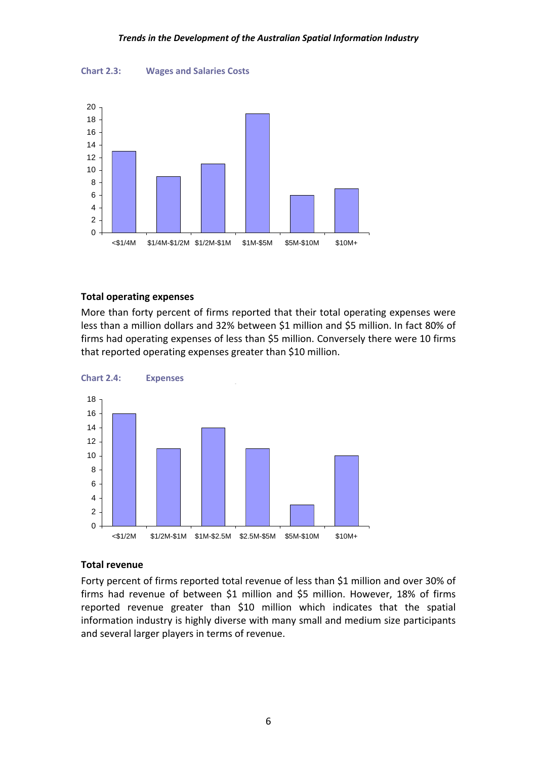



#### **Total operating expenses**

More than forty percent of firms reported that their total operating expenses were less than a million dollars and 32% between \$1 million and \$5 million. In fact 80% of firms had operating expenses of less than \$5 million. Conversely there were 10 firms that reported operating expenses greater than \$10 million.



#### **Total revenue**

Forty percent of firms reported total revenue of less than \$1 million and over 30% of firms had revenue of between \$1 million and \$5 million. However, 18% of firms reported revenue greater than \$10 million which indicates that the spatial information industry is highly diverse with many small and medium size participants and several larger players in terms of revenue.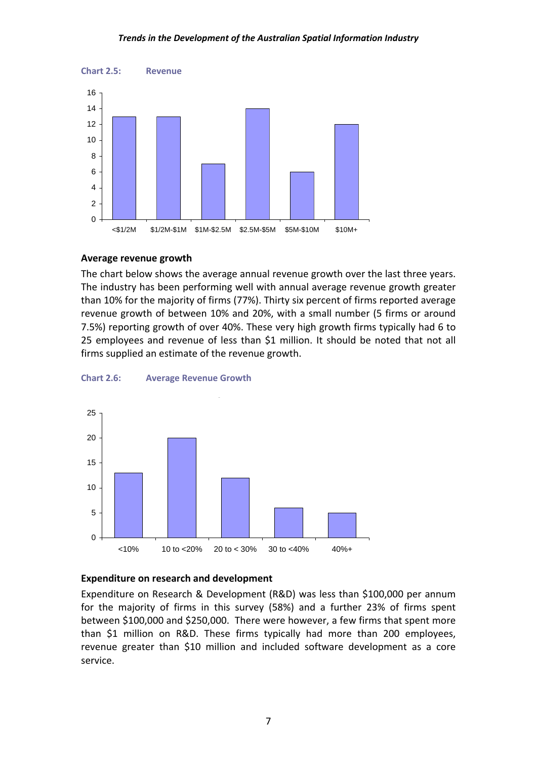#### *Trends in the Development of the Australian Spatial Information Industry*



#### **Average revenue growth**

The chart below shows the average annual revenue growth over the last three years. The industry has been performing well with annual average revenue growth greater than 10% for the majority of firms (77%). Thirty six percent of firms reported average revenue growth of between 10% and 20%, with a small number (5 firms or around 7.5%) reporting growth of over 40%. These very high growth firms typically had 6 to 25 employees and revenue of less than \$1 million. It should be noted that not all firms supplied an estimate of the revenue growth.





#### **Expenditure on research and development**

Expenditure on Research & Development (R&D) was less than \$100,000 per annum for the majority of firms in this survey (58%) and a further 23% of firms spent between \$100,000 and \$250,000. There were however, a few firms that spent more than \$1 million on R&D. These firms typically had more than 200 employees, revenue greater than \$10 million and included software development as a core service.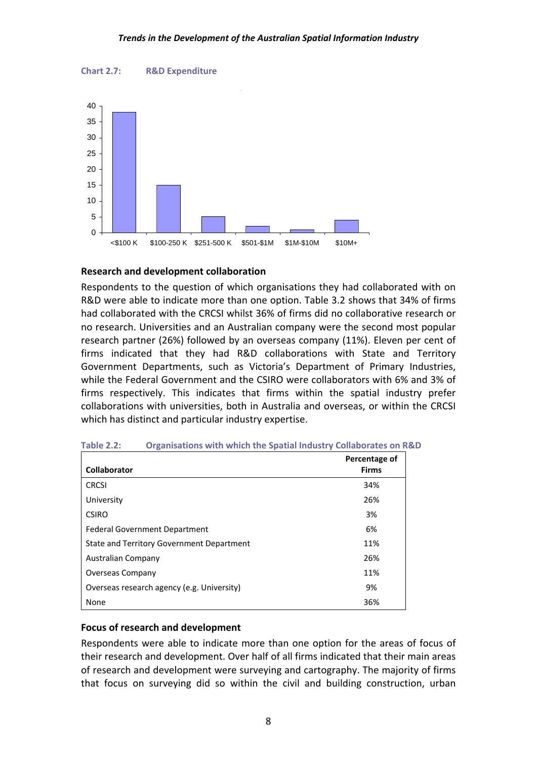



#### **Research and development collaboration**

Respondents to the question of which organisations they had collaborated with on R&D were able to indicate more than one option. Table 3.2 shows that 34% of firms had collaborated with the CRCSI whilst 36% of firms did no collaborative research or no research. Universities and an Australian company were the second most popular research partner (26%) followed by an overseas company (11%). Eleven per cent of firms indicated that they had R&D collaborations with State and Territory Government Departments, such as Victoria's Department of Primary Industries, while the Federal Government and the CSIRO were collaborators with 6% and 3% of firms respectively. This indicates that firms within the spatial industry prefer collaborations with universities, both in Australia and overseas, or within the CRCSI which has distinct and particular industry expertise.

|                                            | Percentage of |
|--------------------------------------------|---------------|
| <b>Collaborator</b>                        | <b>Firms</b>  |
| <b>CRCSI</b>                               | 34%           |
| University                                 | 26%           |
| <b>CSIRO</b>                               | 3%            |
| <b>Federal Government Department</b>       | 6%            |
| State and Territory Government Department  | 11%           |
| Australian Company                         | 26%           |
| <b>Overseas Company</b>                    | 11%           |
| Overseas research agency (e.g. University) | 9%            |
| None                                       | 36%           |

| Table 2.2: | <b>Organisations with which the Spatial Industry Collaborates on R&amp;D</b> |  |  |
|------------|------------------------------------------------------------------------------|--|--|
|            |                                                                              |  |  |

#### **Focus of research and development**

Respondents were able to indicate more than one option for the areas of focus of their research and development. Over half of all firms indicated that their main areas of research and development were surveying and cartography. The majority of firms that focus on surveying did so within the civil and building construction, urban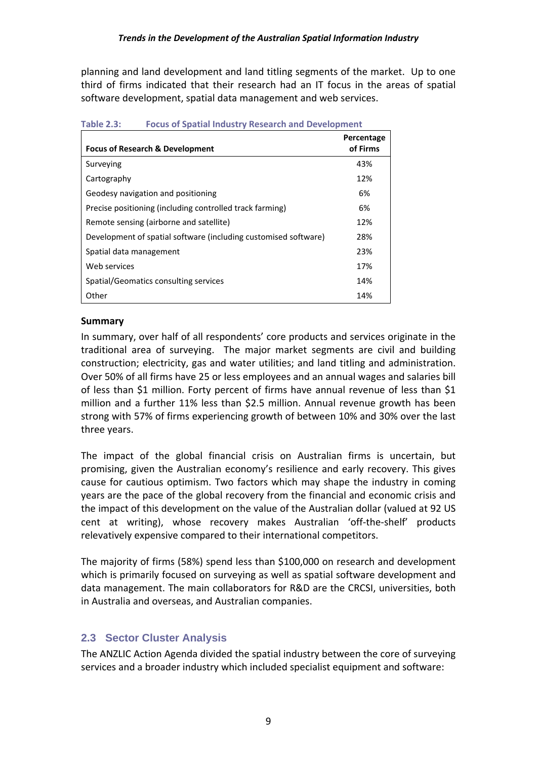planning and land development and land titling segments of the market. Up to one third of firms indicated that their research had an IT focus in the areas of spatial software development, spatial data management and web services.

| <b>Focus of Research &amp; Development</b>                      | Percentage<br>of Firms |
|-----------------------------------------------------------------|------------------------|
| Surveying                                                       | 43%                    |
| Cartography                                                     | 12%                    |
| Geodesy navigation and positioning                              | 6%                     |
| Precise positioning (including controlled track farming)        | 6%                     |
| Remote sensing (airborne and satellite)                         | 12%                    |
| Development of spatial software (including customised software) | 28%                    |
| Spatial data management                                         | 23%                    |
| Web services                                                    | 17%                    |
| Spatial/Geomatics consulting services                           | 14%                    |
| Other                                                           | 14%                    |

**Table 2.3: Focus of Spatial Industry Research and Development**

#### **Summary**

In summary, over half of all respondents' core products and services originate in the traditional area of surveying. The major market segments are civil and building construction; electricity, gas and water utilities; and land titling and administration. Over 50% of all firms have 25 or less employees and an annual wages and salaries bill of less than \$1 million. Forty percent of firms have annual revenue of less than \$1 million and a further 11% less than \$2.5 million. Annual revenue growth has been strong with 57% of firms experiencing growth of between 10% and 30% over the last three years.

The impact of the global financial crisis on Australian firms is uncertain, but promising, given the Australian economy's resilience and early recovery. This gives cause for cautious optimism. Two factors which may shape the industry in coming years are the pace of the global recovery from the financial and economic crisis and the impact of this development on the value of the Australian dollar (valued at 92 US cent at writing), whose recovery makes Australian 'off-the-shelf' products relevatively expensive compared to their international competitors.

The majority of firms (58%) spend less than \$100,000 on research and development which is primarily focused on surveying as well as spatial software development and data management. The main collaborators for R&D are the CRCSI, universities, both in Australia and overseas, and Australian companies.

#### **2.3 Sector Cluster Analysis**

The ANZLIC Action Agenda divided the spatial industry between the core of surveying services and a broader industry which included specialist equipment and software: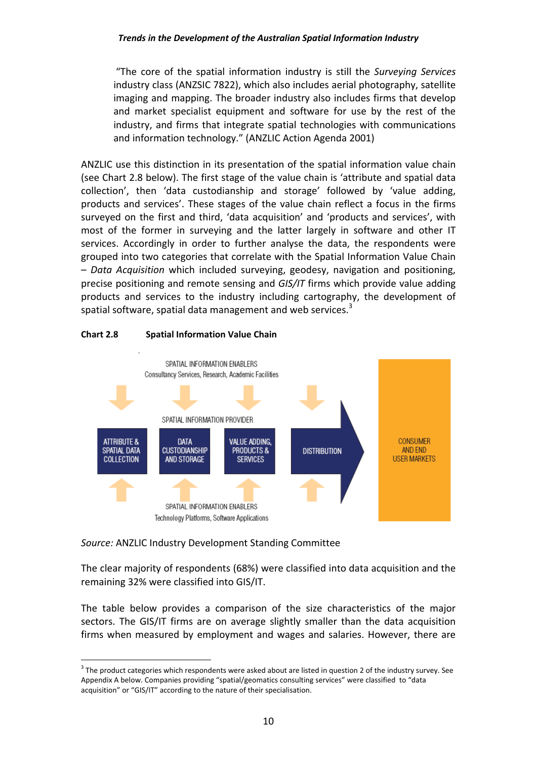"The core of the spatial information industry is still the *Surveying Services* industry class (ANZSIC 7822), which also includes aerial photography, satellite imaging and mapping. The broader industry also includes firms that develop and market specialist equipment and software for use by the rest of the industry, and firms that integrate spatial technologies with communications and information technology." (ANZLIC Action Agenda 2001)

ANZLIC use this distinction in its presentation of the spatial information value chain (see Chart 2.8 below). The first stage of the value chain is 'attribute and spatial data collection', then 'data custodianship and storage' followed by 'value adding, products and services'. These stages of the value chain reflect a focus in the firms surveyed on the first and third, 'data acquisition' and 'products and services', with most of the former in surveying and the latter largely in software and other IT services. Accordingly in order to further analyse the data, the respondents were grouped into two categories that correlate with the Spatial Information Value Chain – *Data Acquisition* which included surveying, geodesy, navigation and positioning, precise positioning and remote sensing and *GIS/IT* firms which provide value adding products and services to the industry including cartography, the development of spatial software, spatial data management and web services.<sup>3</sup>

#### **Chart 2.8 Spatial Information Value Chain**



#### *Source:* ANZLIC Industry Development Standing Committee

 $\overline{a}$ 

The clear majority of respondents (68%) were classified into data acquisition and the remaining 32% were classified into GIS/IT.

The table below provides a comparison of the size characteristics of the major sectors. The GIS/IT firms are on average slightly smaller than the data acquisition firms when measured by employment and wages and salaries. However, there are

<sup>&</sup>lt;sup>3</sup> The product categories which respondents were asked about are listed in question 2 of the industry survey. See Appendix A below. Companies providing "spatial/geomatics consulting services" were classified to "data acquisition" or "GIS/IT" according to the nature of their specialisation.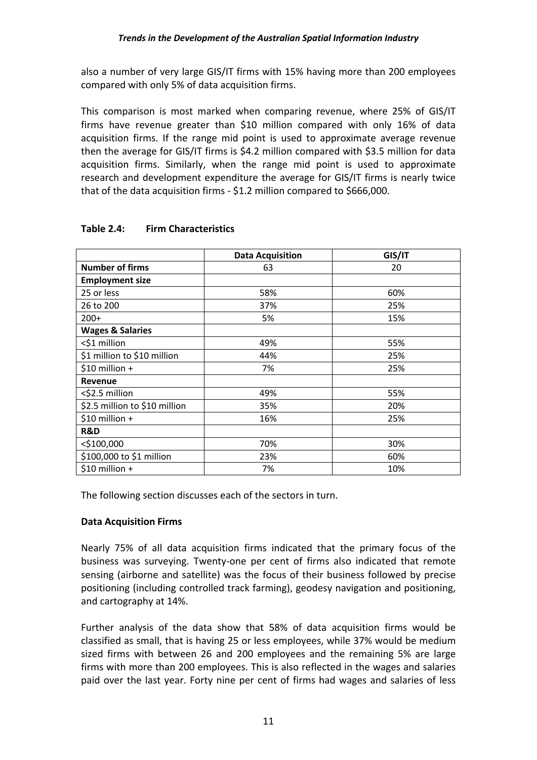also a number of very large GIS/IT firms with 15% having more than 200 employees compared with only 5% of data acquisition firms.

This comparison is most marked when comparing revenue, where 25% of GIS/IT firms have revenue greater than \$10 million compared with only 16% of data acquisition firms. If the range mid point is used to approximate average revenue then the average for GIS/IT firms is \$4.2 million compared with \$3.5 million for data acquisition firms. Similarly, when the range mid point is used to approximate research and development expenditure the average for GIS/IT firms is nearly twice that of the data acquisition firms - \$1.2 million compared to \$666,000.

|                               | <b>Data Acquisition</b> | GIS/IT |
|-------------------------------|-------------------------|--------|
| <b>Number of firms</b>        | 63                      | 20     |
| <b>Employment size</b>        |                         |        |
| 25 or less                    | 58%                     | 60%    |
| 26 to 200                     | 37%                     | 25%    |
| $200+$                        | 5%                      | 15%    |
| <b>Wages &amp; Salaries</b>   |                         |        |
| <\$1 million                  | 49%                     | 55%    |
| \$1 million to \$10 million   | 44%                     | 25%    |
| $$10$ million +               | 7%                      | 25%    |
| Revenue                       |                         |        |
| <\$2.5 million                | 49%                     | 55%    |
| \$2.5 million to \$10 million | 35%                     | 20%    |
| $$10$ million +               | 16%                     | 25%    |
| R&D                           |                         |        |
| $<$ \$100,000                 | 70%                     | 30%    |
| \$100,000 to \$1 million      | 23%                     | 60%    |
| $$10$ million +               | 7%                      | 10%    |

#### **Table 2.4: Firm Characteristics**

The following section discusses each of the sectors in turn.

#### **Data Acquisition Firms**

Nearly 75% of all data acquisition firms indicated that the primary focus of the business was surveying. Twenty‐one per cent of firms also indicated that remote sensing (airborne and satellite) was the focus of their business followed by precise positioning (including controlled track farming), geodesy navigation and positioning, and cartography at 14%.

Further analysis of the data show that 58% of data acquisition firms would be classified as small, that is having 25 or less employees, while 37% would be medium sized firms with between 26 and 200 employees and the remaining 5% are large firms with more than 200 employees. This is also reflected in the wages and salaries paid over the last year. Forty nine per cent of firms had wages and salaries of less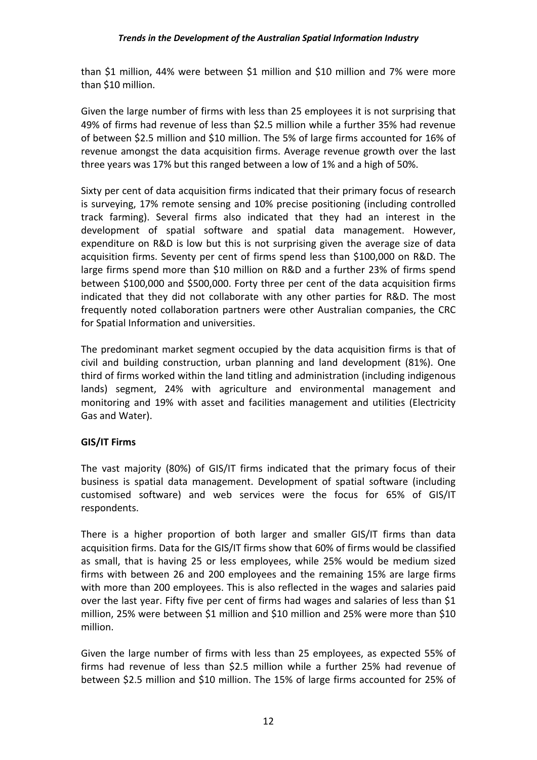than \$1 million, 44% were between \$1 million and \$10 million and 7% were more than \$10 million.

Given the large number of firms with less than 25 employees it is not surprising that 49% of firms had revenue of less than \$2.5 million while a further 35% had revenue of between \$2.5 million and \$10 million. The 5% of large firms accounted for 16% of revenue amongst the data acquisition firms. Average revenue growth over the last three years was 17% but this ranged between a low of 1% and a high of 50%.

Sixty per cent of data acquisition firms indicated that their primary focus of research is surveying, 17% remote sensing and 10% precise positioning (including controlled track farming). Several firms also indicated that they had an interest in the development of spatial software and spatial data management. However, expenditure on R&D is low but this is not surprising given the average size of data acquisition firms. Seventy per cent of firms spend less than \$100,000 on R&D. The large firms spend more than \$10 million on R&D and a further 23% of firms spend between \$100,000 and \$500,000. Forty three per cent of the data acquisition firms indicated that they did not collaborate with any other parties for R&D. The most frequently noted collaboration partners were other Australian companies, the CRC for Spatial Information and universities.

The predominant market segment occupied by the data acquisition firms is that of civil and building construction, urban planning and land development (81%). One third of firms worked within the land titling and administration (including indigenous lands) segment, 24% with agriculture and environmental management and monitoring and 19% with asset and facilities management and utilities (Electricity Gas and Water).

#### **GIS/IT Firms**

The vast majority (80%) of GIS/IT firms indicated that the primary focus of their business is spatial data management. Development of spatial software (including customised software) and web services were the focus for 65% of GIS/IT respondents.

There is a higher proportion of both larger and smaller GIS/IT firms than data acquisition firms. Data for the GIS/IT firms show that 60% of firms would be classified as small, that is having 25 or less employees, while 25% would be medium sized firms with between 26 and 200 employees and the remaining 15% are large firms with more than 200 employees. This is also reflected in the wages and salaries paid over the last year. Fifty five per cent of firms had wages and salaries of less than \$1 million, 25% were between \$1 million and \$10 million and 25% were more than \$10 million.

Given the large number of firms with less than 25 employees, as expected 55% of firms had revenue of less than \$2.5 million while a further 25% had revenue of between \$2.5 million and \$10 million. The 15% of large firms accounted for 25% of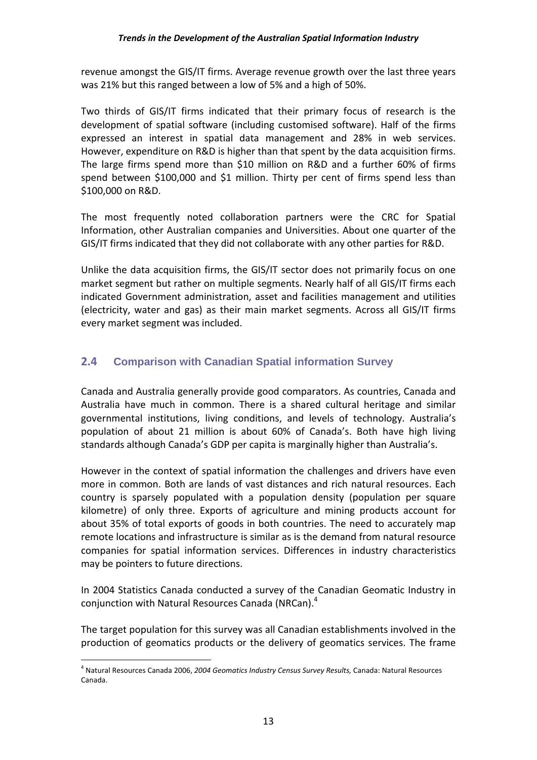revenue amongst the GIS/IT firms. Average revenue growth over the last three years was 21% but this ranged between a low of 5% and a high of 50%.

Two thirds of GIS/IT firms indicated that their primary focus of research is the development of spatial software (including customised software). Half of the firms expressed an interest in spatial data management and 28% in web services. However, expenditure on R&D is higher than that spent by the data acquisition firms. The large firms spend more than \$10 million on R&D and a further 60% of firms spend between \$100,000 and \$1 million. Thirty per cent of firms spend less than \$100,000 on R&D.

The most frequently noted collaboration partners were the CRC for Spatial Information, other Australian companies and Universities. About one quarter of the GIS/IT firms indicated that they did not collaborate with any other parties for R&D.

Unlike the data acquisition firms, the GIS/IT sector does not primarily focus on one market segment but rather on multiple segments. Nearly half of all GIS/IT firms each indicated Government administration, asset and facilities management and utilities (electricity, water and gas) as their main market segments. Across all GIS/IT firms every market segment was included.

#### **2.4 Comparison with Canadian Spatial information Survey**

Canada and Australia generally provide good comparators. As countries, Canada and Australia have much in common. There is a shared cultural heritage and similar governmental institutions, living conditions, and levels of technology. Australia's population of about 21 million is about 60% of Canada's. Both have high living standards although Canada's GDP per capita is marginally higher than Australia's.

However in the context of spatial information the challenges and drivers have even more in common. Both are lands of vast distances and rich natural resources. Each country is sparsely populated with a population density (population per square kilometre) of only three. Exports of agriculture and mining products account for about 35% of total exports of goods in both countries. The need to accurately map remote locations and infrastructure is similar as is the demand from natural resource companies for spatial information services. Differences in industry characteristics may be pointers to future directions.

In 2004 Statistics Canada conducted a survey of the Canadian Geomatic Industry in conjunction with Natural Resources Canada (NRCan). $4$ 

The target population for this survey was all Canadian establishments involved in the production of geomatics products or the delivery of geomatics services. The frame

 $\overline{a}$ 

<sup>4</sup> Natural Resources Canada 2006, *2004 Geomatics Industry Census Survey Results,* Canada: Natural Resources Canada.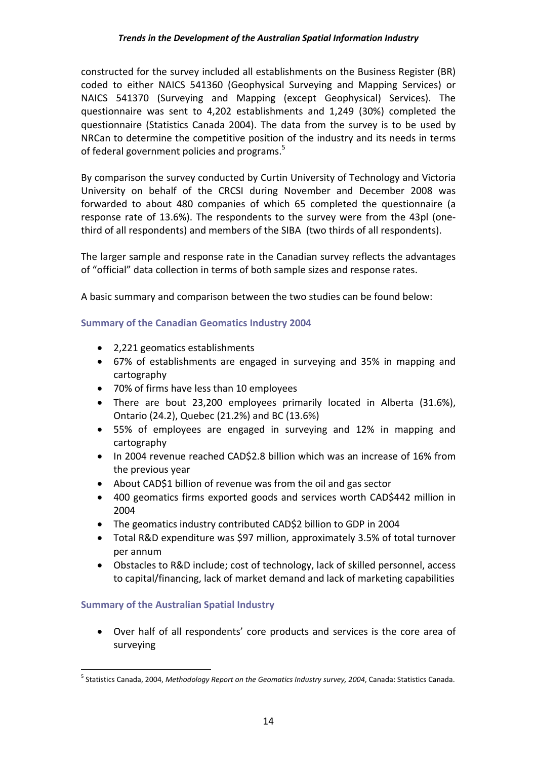constructed for the survey included all establishments on the Business Register (BR) coded to either NAICS 541360 (Geophysical Surveying and Mapping Services) or NAICS 541370 (Surveying and Mapping (except Geophysical) Services). The questionnaire was sent to 4,202 establishments and 1,249 (30%) completed the questionnaire (Statistics Canada 2004). The data from the survey is to be used by NRCan to determine the competitive position of the industry and its needs in terms of federal government policies and programs.<sup>5</sup>

By comparison the survey conducted by Curtin University of Technology and Victoria University on behalf of the CRCSI during November and December 2008 was forwarded to about 480 companies of which 65 completed the questionnaire (a response rate of 13.6%). The respondents to the survey were from the 43pl (one‐ third of all respondents) and members of the SIBA (two thirds of all respondents).

The larger sample and response rate in the Canadian survey reflects the advantages of "official" data collection in terms of both sample sizes and response rates.

A basic summary and comparison between the two studies can be found below:

#### **Summary of the Canadian Geomatics Industry 2004**

- 2,221 geomatics establishments
- 67% of establishments are engaged in surveying and 35% in mapping and cartography
- 70% of firms have less than 10 employees
- There are bout 23,200 employees primarily located in Alberta (31.6%), Ontario (24.2), Quebec (21.2%) and BC (13.6%)
- 55% of employees are engaged in surveying and 12% in mapping and cartography
- In 2004 revenue reached CAD\$2.8 billion which was an increase of 16% from the previous year
- About CAD\$1 billion of revenue was from the oil and gas sector
- 400 geomatics firms exported goods and services worth CAD\$442 million in 2004
- The geomatics industry contributed CAD\$2 billion to GDP in 2004
- Total R&D expenditure was \$97 million, approximately 3.5% of total turnover per annum
- Obstacles to R&D include; cost of technology, lack of skilled personnel, access to capital/financing, lack of market demand and lack of marketing capabilities

#### **Summary of the Australian Spatial Industry**

 $\overline{a}$ 

 Over half of all respondents' core products and services is the core area of surveying

<sup>5</sup> Statistics Canada, 2004, *Methodology Report on the Geomatics Industry survey, 2004*, Canada: Statistics Canada.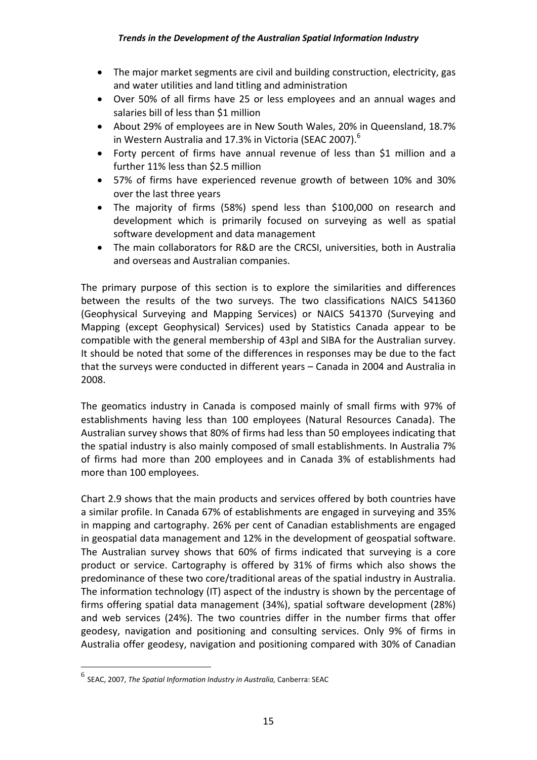- The major market segments are civil and building construction, electricity, gas and water utilities and land titling and administration
- Over 50% of all firms have 25 or less employees and an annual wages and salaries bill of less than \$1 million
- About 29% of employees are in New South Wales, 20% in Queensland, 18.7% in Western Australia and 17.3% in Victoria (SEAC 2007).<sup>6</sup>
- Forty percent of firms have annual revenue of less than \$1 million and a further 11% less than \$2.5 million
- 57% of firms have experienced revenue growth of between 10% and 30% over the last three years
- The majority of firms (58%) spend less than \$100,000 on research and development which is primarily focused on surveying as well as spatial software development and data management
- The main collaborators for R&D are the CRCSI, universities, both in Australia and overseas and Australian companies.

The primary purpose of this section is to explore the similarities and differences between the results of the two surveys. The two classifications NAICS 541360 (Geophysical Surveying and Mapping Services) or NAICS 541370 (Surveying and Mapping (except Geophysical) Services) used by Statistics Canada appear to be compatible with the general membership of 43pl and SIBA for the Australian survey. It should be noted that some of the differences in responses may be due to the fact that the surveys were conducted in different years – Canada in 2004 and Australia in 2008.

The geomatics industry in Canada is composed mainly of small firms with 97% of establishments having less than 100 employees (Natural Resources Canada). The Australian survey shows that 80% of firms had less than 50 employees indicating that the spatial industry is also mainly composed of small establishments. In Australia 7% of firms had more than 200 employees and in Canada 3% of establishments had more than 100 employees.

Chart 2.9 shows that the main products and services offered by both countries have a similar profile. In Canada 67% of establishments are engaged in surveying and 35% in mapping and cartography. 26% per cent of Canadian establishments are engaged in geospatial data management and 12% in the development of geospatial software. The Australian survey shows that 60% of firms indicated that surveying is a core product or service. Cartography is offered by 31% of firms which also shows the predominance of these two core/traditional areas of the spatial industry in Australia. The information technology (IT) aspect of the industry is shown by the percentage of firms offering spatial data management (34%), spatial software development (28%) and web services (24%). The two countries differ in the number firms that offer geodesy, navigation and positioning and consulting services. Only 9% of firms in Australia offer geodesy, navigation and positioning compared with 30% of Canadian

 $\overline{a}$ 

<sup>6</sup> SEAC, 2007, *The Spatial Information Industry in Australia,* Canberra: SEAC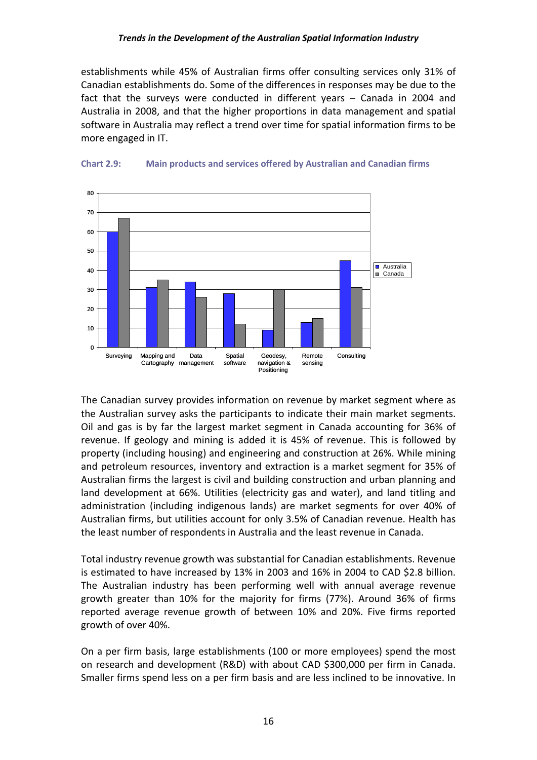establishments while 45% of Australian firms offer consulting services only 31% of Canadian establishments do. Some of the differences in responses may be due to the fact that the surveys were conducted in different years – Canada in 2004 and Australia in 2008, and that the higher proportions in data management and spatial software in Australia may reflect a trend over time for spatial information firms to be more engaged in IT.





The Canadian survey provides information on revenue by market segment where as the Australian survey asks the participants to indicate their main market segments. Oil and gas is by far the largest market segment in Canada accounting for 36% of revenue. If geology and mining is added it is 45% of revenue. This is followed by property (including housing) and engineering and construction at 26%. While mining and petroleum resources, inventory and extraction is a market segment for 35% of Australian firms the largest is civil and building construction and urban planning and land development at 66%. Utilities (electricity gas and water), and land titling and administration (including indigenous lands) are market segments for over 40% of Australian firms, but utilities account for only 3.5% of Canadian revenue. Health has the least number of respondents in Australia and the least revenue in Canada.

Total industry revenue growth was substantial for Canadian establishments. Revenue is estimated to have increased by 13% in 2003 and 16% in 2004 to CAD \$2.8 billion. The Australian industry has been performing well with annual average revenue growth greater than 10% for the majority for firms (77%). Around 36% of firms reported average revenue growth of between 10% and 20%. Five firms reported growth of over 40%.

On a per firm basis, large establishments (100 or more employees) spend the most on research and development (R&D) with about CAD \$300,000 per firm in Canada. Smaller firms spend less on a per firm basis and are less inclined to be innovative. In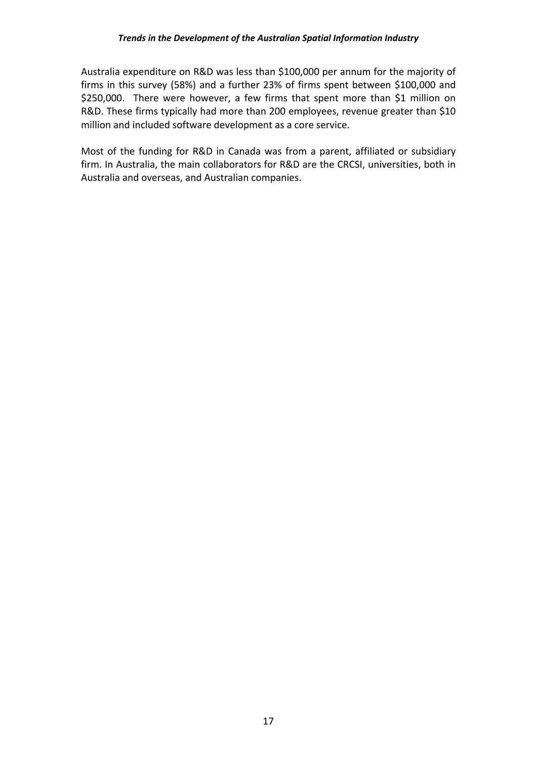Australia expenditure on R&D was less than \$100,000 per annum for the majority of firms in this survey (58%) and a further 23% of firms spent between \$100,000 and \$250,000. There were however, a few firms that spent more than \$1 million on R&D. These firms typically had more than 200 employees, revenue greater than \$10 million and included software development as a core service.

Most of the funding for R&D in Canada was from a parent, affiliated or subsidiary firm. In Australia, the main collaborators for R&D are the CRCSI, universities, both in Australia and overseas, and Australian companies.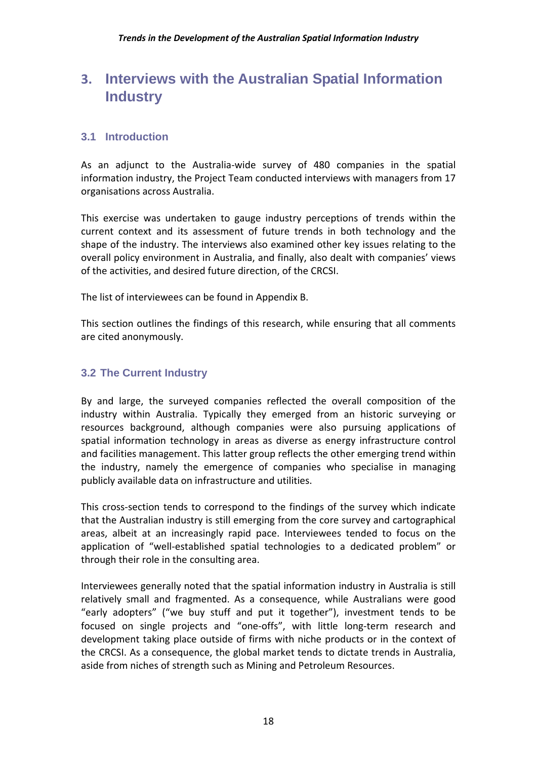## **3. Interviews with the Australian Spatial Information Industry**

#### **3.1 Introduction**

As an adjunct to the Australia‐wide survey of 480 companies in the spatial information industry, the Project Team conducted interviews with managers from 17 organisations across Australia.

This exercise was undertaken to gauge industry perceptions of trends within the current context and its assessment of future trends in both technology and the shape of the industry. The interviews also examined other key issues relating to the overall policy environment in Australia, and finally, also dealt with companies' views of the activities, and desired future direction, of the CRCSI.

The list of interviewees can be found in Appendix B.

This section outlines the findings of this research, while ensuring that all comments are cited anonymously.

#### **3.2 The Current Industry**

By and large, the surveyed companies reflected the overall composition of the industry within Australia. Typically they emerged from an historic surveying or resources background, although companies were also pursuing applications of spatial information technology in areas as diverse as energy infrastructure control and facilities management. This latter group reflects the other emerging trend within the industry, namely the emergence of companies who specialise in managing publicly available data on infrastructure and utilities.

This cross‐section tends to correspond to the findings of the survey which indicate that the Australian industry is still emerging from the core survey and cartographical areas, albeit at an increasingly rapid pace. Interviewees tended to focus on the application of "well‐established spatial technologies to a dedicated problem" or through their role in the consulting area.

Interviewees generally noted that the spatial information industry in Australia is still relatively small and fragmented. As a consequence, while Australians were good "early adopters" ("we buy stuff and put it together"), investment tends to be focused on single projects and "one‐offs", with little long‐term research and development taking place outside of firms with niche products or in the context of the CRCSI. As a consequence, the global market tends to dictate trends in Australia, aside from niches of strength such as Mining and Petroleum Resources.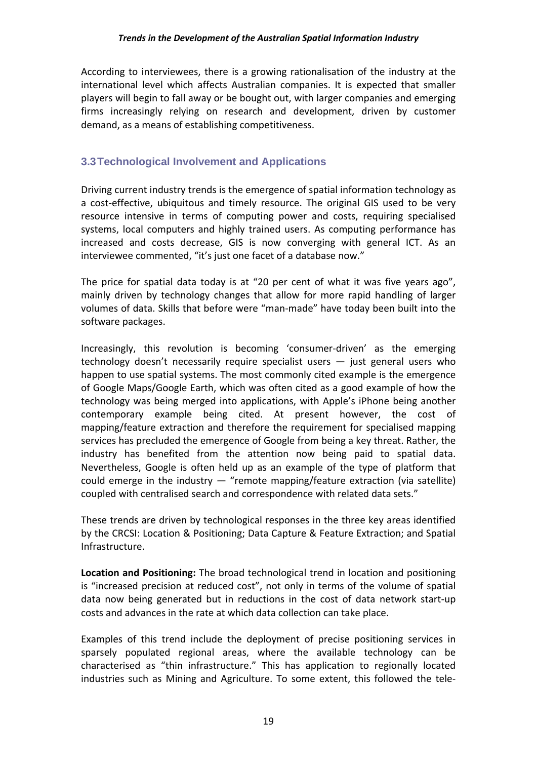According to interviewees, there is a growing rationalisation of the industry at the international level which affects Australian companies. It is expected that smaller players will begin to fall away or be bought out, with larger companies and emerging firms increasingly relying on research and development, driven by customer demand, as a means of establishing competitiveness.

#### **3.3 Technological Involvement and Applications**

Driving current industry trends is the emergence of spatial information technology as a cost-effective, ubiquitous and timely resource. The original GIS used to be very resource intensive in terms of computing power and costs, requiring specialised systems, local computers and highly trained users. As computing performance has increased and costs decrease, GIS is now converging with general ICT. As an interviewee commented, "it's just one facet of a database now."

The price for spatial data today is at "20 per cent of what it was five years ago", mainly driven by technology changes that allow for more rapid handling of larger volumes of data. Skills that before were "man‐made" have today been built into the software packages.

Increasingly, this revolution is becoming 'consumer‐driven' as the emerging technology doesn't necessarily require specialist users — just general users who happen to use spatial systems. The most commonly cited example is the emergence of Google Maps/Google Earth, which was often cited as a good example of how the technology was being merged into applications, with Apple's iPhone being another contemporary example being cited. At present however, the cost of mapping/feature extraction and therefore the requirement for specialised mapping services has precluded the emergence of Google from being a key threat. Rather, the industry has benefited from the attention now being paid to spatial data. Nevertheless, Google is often held up as an example of the type of platform that could emerge in the industry  $-$  "remote mapping/feature extraction (via satellite) coupled with centralised search and correspondence with related data sets."

These trends are driven by technological responses in the three key areas identified by the CRCSI: Location & Positioning; Data Capture & Feature Extraction; and Spatial Infrastructure.

**Location and Positioning:** The broad technological trend in location and positioning is "increased precision at reduced cost", not only in terms of the volume of spatial data now being generated but in reductions in the cost of data network start‐up costs and advances in the rate at which data collection can take place.

Examples of this trend include the deployment of precise positioning services in sparsely populated regional areas, where the available technology can be characterised as "thin infrastructure." This has application to regionally located industries such as Mining and Agriculture. To some extent, this followed the tele‐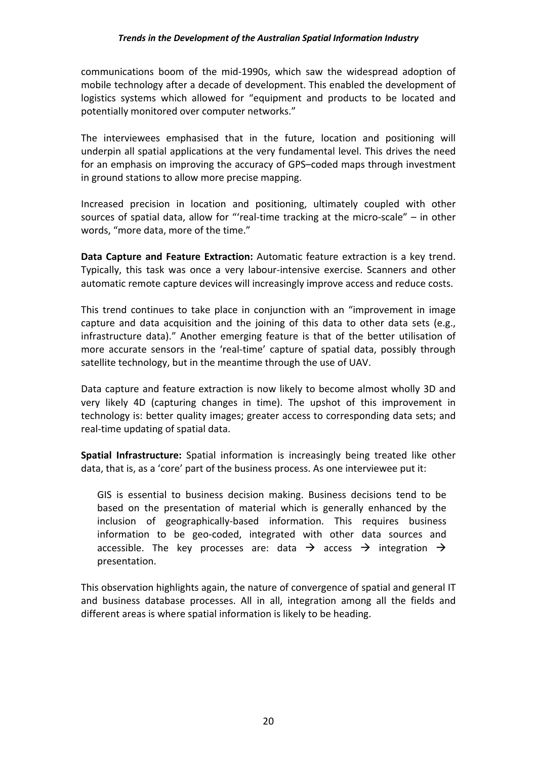communications boom of the mid‐1990s, which saw the widespread adoption of mobile technology after a decade of development. This enabled the development of logistics systems which allowed for "equipment and products to be located and potentially monitored over computer networks."

The interviewees emphasised that in the future, location and positioning will underpin all spatial applications at the very fundamental level. This drives the need for an emphasis on improving the accuracy of GPS–coded maps through investment in ground stations to allow more precise mapping.

Increased precision in location and positioning, ultimately coupled with other sources of spatial data, allow for "'real-time tracking at the micro-scale" – in other words, "more data, more of the time."

**Data Capture and Feature Extraction:** Automatic feature extraction is a key trend. Typically, this task was once a very labour‐intensive exercise. Scanners and other automatic remote capture devices will increasingly improve access and reduce costs.

This trend continues to take place in conjunction with an "improvement in image capture and data acquisition and the joining of this data to other data sets (e.g., infrastructure data)." Another emerging feature is that of the better utilisation of more accurate sensors in the 'real-time' capture of spatial data, possibly through satellite technology, but in the meantime through the use of UAV.

Data capture and feature extraction is now likely to become almost wholly 3D and very likely 4D (capturing changes in time). The upshot of this improvement in technology is: better quality images; greater access to corresponding data sets; and real‐time updating of spatial data.

**Spatial Infrastructure:** Spatial information is increasingly being treated like other data, that is, as a 'core' part of the business process. As one interviewee put it:

GIS is essential to business decision making. Business decisions tend to be based on the presentation of material which is generally enhanced by the inclusion of geographically‐based information. This requires business information to be geo-coded, integrated with other data sources and accessible. The key processes are: data  $\rightarrow$  access  $\rightarrow$  integration  $\rightarrow$ presentation.

This observation highlights again, the nature of convergence of spatial and general IT and business database processes. All in all, integration among all the fields and different areas is where spatial information is likely to be heading.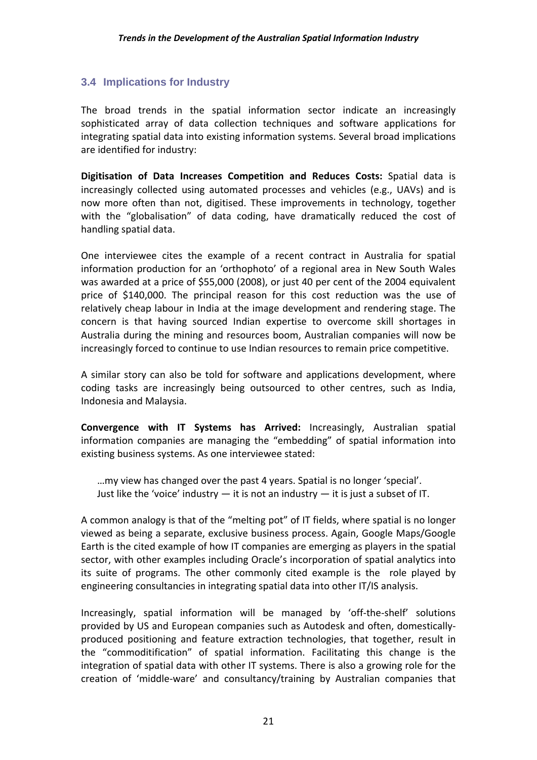#### **3.4 Implications for Industry**

The broad trends in the spatial information sector indicate an increasingly sophisticated array of data collection techniques and software applications for integrating spatial data into existing information systems. Several broad implications are identified for industry:

**Digitisation of Data Increases Competition and Reduces Costs:** Spatial data is increasingly collected using automated processes and vehicles (e.g., UAVs) and is now more often than not, digitised. These improvements in technology, together with the "globalisation" of data coding, have dramatically reduced the cost of handling spatial data.

One interviewee cites the example of a recent contract in Australia for spatial information production for an 'orthophoto' of a regional area in New South Wales was awarded at a price of \$55,000 (2008), or just 40 per cent of the 2004 equivalent price of \$140,000. The principal reason for this cost reduction was the use of relatively cheap labour in India at the image development and rendering stage. The concern is that having sourced Indian expertise to overcome skill shortages in Australia during the mining and resources boom, Australian companies will now be increasingly forced to continue to use Indian resources to remain price competitive.

A similar story can also be told for software and applications development, where coding tasks are increasingly being outsourced to other centres, such as India, Indonesia and Malaysia.

**Convergence with IT Systems has Arrived:** Increasingly, Australian spatial information companies are managing the "embedding" of spatial information into existing business systems. As one interviewee stated:

…my view has changed over the past 4 years. Spatial is no longer 'special'. Just like the 'voice' industry  $-$  it is not an industry  $-$  it is just a subset of IT.

A common analogy is that of the "melting pot" of IT fields, where spatial is no longer viewed as being a separate, exclusive business process. Again, Google Maps/Google Earth is the cited example of how IT companies are emerging as players in the spatial sector, with other examples including Oracle's incorporation of spatial analytics into its suite of programs. The other commonly cited example is the role played by engineering consultancies in integrating spatial data into other IT/IS analysis.

Increasingly, spatial information will be managed by 'off‐the‐shelf' solutions provided by US and European companies such as Autodesk and often, domestically‐ produced positioning and feature extraction technologies, that together, result in the "commoditification" of spatial information. Facilitating this change is the integration of spatial data with other IT systems. There is also a growing role for the creation of 'middle‐ware' and consultancy/training by Australian companies that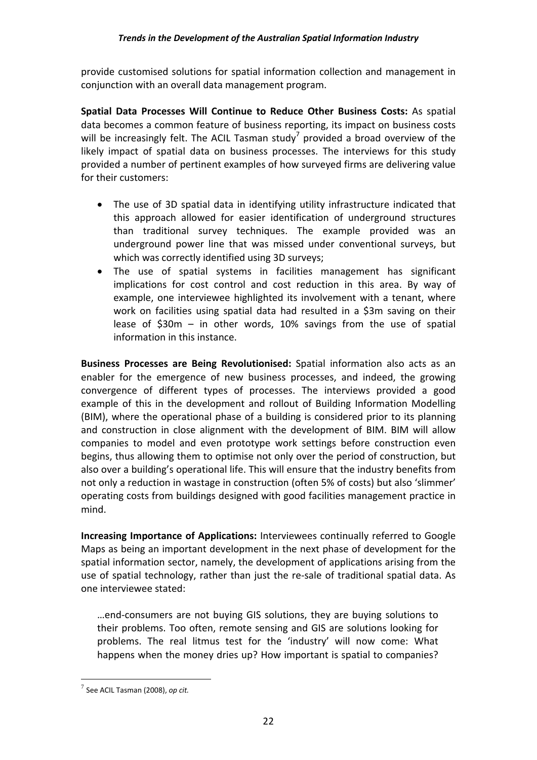provide customised solutions for spatial information collection and management in conjunction with an overall data management program.

**Spatial Data Processes Will Continue to Reduce Other Business Costs:** As spatial data becomes a common feature of business reporting, its impact on business costs will be increasingly felt. The ACIL Tasman study<sup>7</sup> provided a broad overview of the likely impact of spatial data on business processes. The interviews for this study provided a number of pertinent examples of how surveyed firms are delivering value for their customers:

- The use of 3D spatial data in identifying utility infrastructure indicated that this approach allowed for easier identification of underground structures than traditional survey techniques. The example provided was an underground power line that was missed under conventional surveys, but which was correctly identified using 3D surveys;
- The use of spatial systems in facilities management has significant implications for cost control and cost reduction in this area. By way of example, one interviewee highlighted its involvement with a tenant, where work on facilities using spatial data had resulted in a \$3m saving on their lease of \$30m – in other words, 10% savings from the use of spatial information in this instance.

**Business Processes are Being Revolutionised:** Spatial information also acts as an enabler for the emergence of new business processes, and indeed, the growing convergence of different types of processes. The interviews provided a good example of this in the development and rollout of Building Information Modelling (BIM), where the operational phase of a building is considered prior to its planning and construction in close alignment with the development of BIM. BIM will allow companies to model and even prototype work settings before construction even begins, thus allowing them to optimise not only over the period of construction, but also over a building's operational life. This will ensure that the industry benefits from not only a reduction in wastage in construction (often 5% of costs) but also 'slimmer' operating costs from buildings designed with good facilities management practice in mind.

**Increasing Importance of Applications:** Interviewees continually referred to Google Maps as being an important development in the next phase of development for the spatial information sector, namely, the development of applications arising from the use of spatial technology, rather than just the re‐sale of traditional spatial data. As one interviewee stated:

…end‐consumers are not buying GIS solutions, they are buying solutions to their problems. Too often, remote sensing and GIS are solutions looking for problems. The real litmus test for the 'industry' will now come: What happens when the money dries up? How important is spatial to companies?

 $\overline{a}$ 

<sup>7</sup> See ACIL Tasman (2008), *op cit.*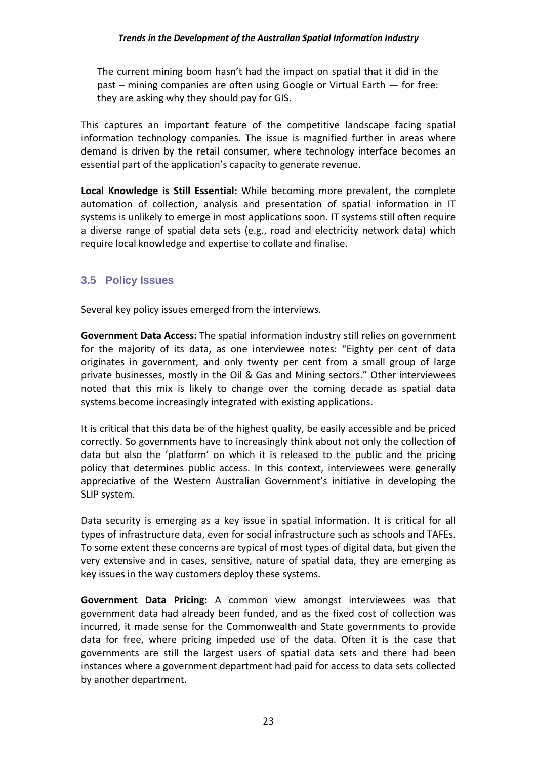The current mining boom hasn't had the impact on spatial that it did in the past – mining companies are often using Google or Virtual Earth — for free: they are asking why they should pay for GIS.

This captures an important feature of the competitive landscape facing spatial information technology companies. The issue is magnified further in areas where demand is driven by the retail consumer, where technology interface becomes an essential part of the application's capacity to generate revenue.

**Local Knowledge is Still Essential:** While becoming more prevalent, the complete automation of collection, analysis and presentation of spatial information in IT systems is unlikely to emerge in most applications soon. IT systems still often require a diverse range of spatial data sets (e.g., road and electricity network data) which require local knowledge and expertise to collate and finalise.

#### **3.5 Policy Issues**

Several key policy issues emerged from the interviews.

**Government Data Access:** The spatial information industry still relies on government for the majority of its data, as one interviewee notes: "Eighty per cent of data originates in government, and only twenty per cent from a small group of large private businesses, mostly in the Oil & Gas and Mining sectors." Other interviewees noted that this mix is likely to change over the coming decade as spatial data systems become increasingly integrated with existing applications.

It is critical that this data be of the highest quality, be easily accessible and be priced correctly. So governments have to increasingly think about not only the collection of data but also the 'platform' on which it is released to the public and the pricing policy that determines public access. In this context, interviewees were generally appreciative of the Western Australian Government's initiative in developing the SLIP system.

Data security is emerging as a key issue in spatial information. It is critical for all types of infrastructure data, even for social infrastructure such as schools and TAFEs. To some extent these concerns are typical of most types of digital data, but given the very extensive and in cases, sensitive, nature of spatial data, they are emerging as key issues in the way customers deploy these systems.

**Government Data Pricing:** A common view amongst interviewees was that government data had already been funded, and as the fixed cost of collection was incurred, it made sense for the Commonwealth and State governments to provide data for free, where pricing impeded use of the data. Often it is the case that governments are still the largest users of spatial data sets and there had been instances where a government department had paid for access to data sets collected by another department.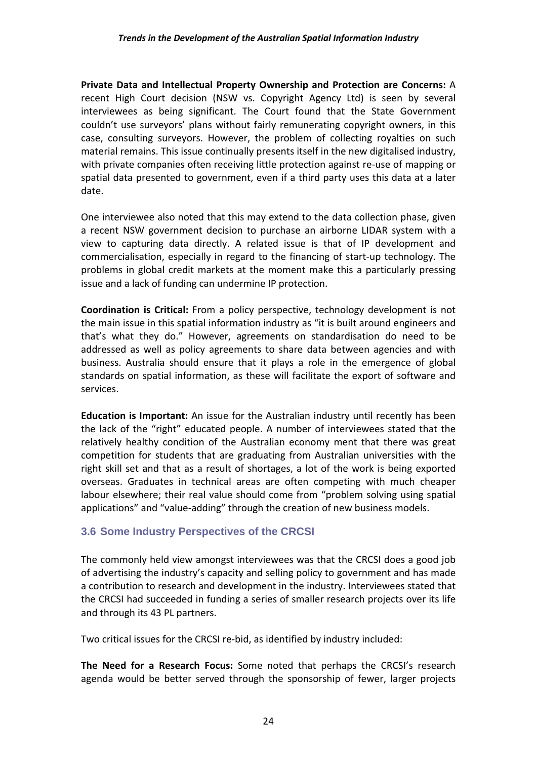**Private Data and Intellectual Property Ownership and Protection are Concerns:** A recent High Court decision (NSW vs. Copyright Agency Ltd) is seen by several interviewees as being significant. The Court found that the State Government couldn't use surveyors' plans without fairly remunerating copyright owners, in this case, consulting surveyors. However, the problem of collecting royalties on such material remains. This issue continually presents itself in the new digitalised industry, with private companies often receiving little protection against re‐use of mapping or spatial data presented to government, even if a third party uses this data at a later date.

One interviewee also noted that this may extend to the data collection phase, given a recent NSW government decision to purchase an airborne LIDAR system with a view to capturing data directly. A related issue is that of IP development and commercialisation, especially in regard to the financing of start‐up technology. The problems in global credit markets at the moment make this a particularly pressing issue and a lack of funding can undermine IP protection.

**Coordination is Critical:** From a policy perspective, technology development is not the main issue in this spatial information industry as "it is built around engineers and that's what they do." However, agreements on standardisation do need to be addressed as well as policy agreements to share data between agencies and with business. Australia should ensure that it plays a role in the emergence of global standards on spatial information, as these will facilitate the export of software and services.

**Education is Important:** An issue for the Australian industry until recently has been the lack of the "right" educated people. A number of interviewees stated that the relatively healthy condition of the Australian economy ment that there was great competition for students that are graduating from Australian universities with the right skill set and that as a result of shortages, a lot of the work is being exported overseas. Graduates in technical areas are often competing with much cheaper labour elsewhere; their real value should come from "problem solving using spatial applications" and "value‐adding" through the creation of new business models.

#### **3.6 Some Industry Perspectives of the CRCSI**

The commonly held view amongst interviewees was that the CRCSI does a good job of advertising the industry's capacity and selling policy to government and has made a contribution to research and development in the industry. Interviewees stated that the CRCSI had succeeded in funding a series of smaller research projects over its life and through its 43 PL partners.

Two critical issues for the CRCSI re‐bid, as identified by industry included:

**The Need for a Research Focus:** Some noted that perhaps the CRCSI's research agenda would be better served through the sponsorship of fewer, larger projects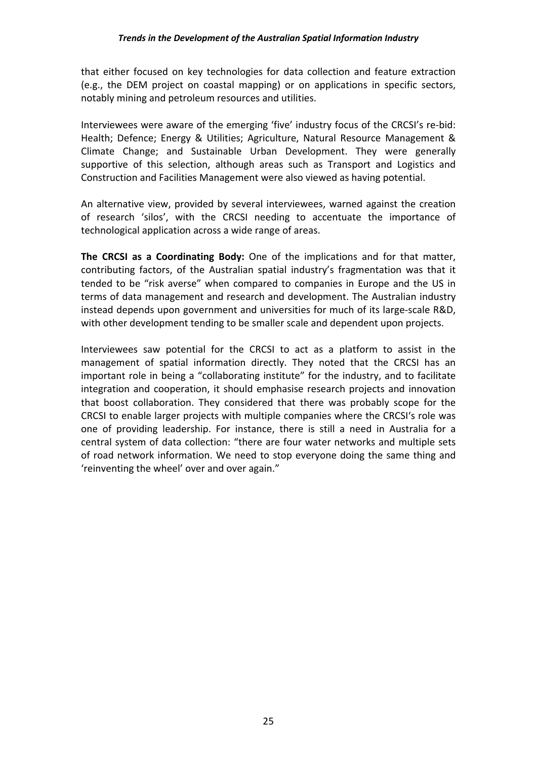that either focused on key technologies for data collection and feature extraction (e.g., the DEM project on coastal mapping) or on applications in specific sectors, notably mining and petroleum resources and utilities.

Interviewees were aware of the emerging 'five' industry focus of the CRCSI's re‐bid: Health; Defence; Energy & Utilities; Agriculture, Natural Resource Management & Climate Change; and Sustainable Urban Development. They were generally supportive of this selection, although areas such as Transport and Logistics and Construction and Facilities Management were also viewed as having potential.

An alternative view, provided by several interviewees, warned against the creation of research 'silos', with the CRCSI needing to accentuate the importance of technological application across a wide range of areas.

**The CRCSI as a Coordinating Body:** One of the implications and for that matter, contributing factors, of the Australian spatial industry's fragmentation was that it tended to be "risk averse" when compared to companies in Europe and the US in terms of data management and research and development. The Australian industry instead depends upon government and universities for much of its large‐scale R&D, with other development tending to be smaller scale and dependent upon projects.

Interviewees saw potential for the CRCSI to act as a platform to assist in the management of spatial information directly. They noted that the CRCSI has an important role in being a "collaborating institute" for the industry, and to facilitate integration and cooperation, it should emphasise research projects and innovation that boost collaboration. They considered that there was probably scope for the CRCSI to enable larger projects with multiple companies where the CRCSI's role was one of providing leadership. For instance, there is still a need in Australia for a central system of data collection: "there are four water networks and multiple sets of road network information. We need to stop everyone doing the same thing and 'reinventing the wheel' over and over again."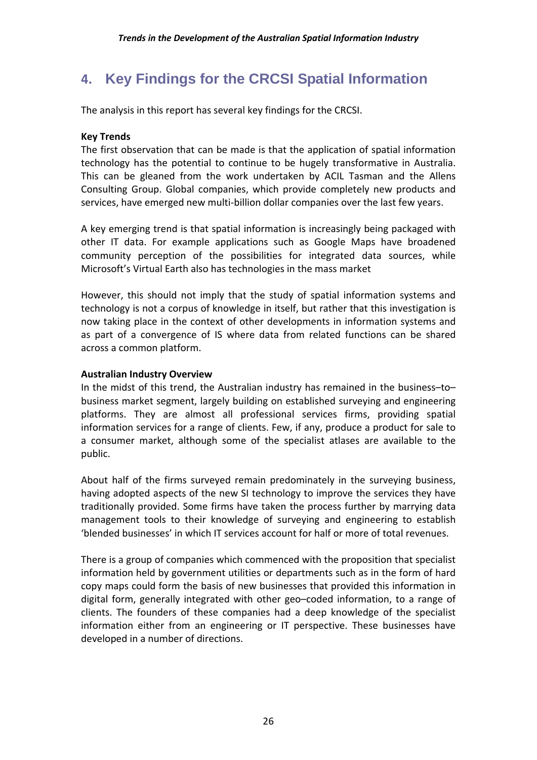## **4. Key Findings for the CRCSI Spatial Information**

The analysis in this report has several key findings for the CRCSI.

#### **Key Trends**

The first observation that can be made is that the application of spatial information technology has the potential to continue to be hugely transformative in Australia. This can be gleaned from the work undertaken by ACIL Tasman and the Allens Consulting Group. Global companies, which provide completely new products and services, have emerged new multi-billion dollar companies over the last few years.

A key emerging trend is that spatial information is increasingly being packaged with other IT data. For example applications such as Google Maps have broadened community perception of the possibilities for integrated data sources, while Microsoft's Virtual Earth also has technologies in the mass market

However, this should not imply that the study of spatial information systems and technology is not a corpus of knowledge in itself, but rather that this investigation is now taking place in the context of other developments in information systems and as part of a convergence of IS where data from related functions can be shared across a common platform.

#### **Australian Industry Overview**

In the midst of this trend, the Australian industry has remained in the business–to– business market segment, largely building on established surveying and engineering platforms. They are almost all professional services firms, providing spatial information services for a range of clients. Few, if any, produce a product for sale to a consumer market, although some of the specialist atlases are available to the public.

About half of the firms surveyed remain predominately in the surveying business, having adopted aspects of the new SI technology to improve the services they have traditionally provided. Some firms have taken the process further by marrying data management tools to their knowledge of surveying and engineering to establish 'blended businesses' in which IT services account for half or more of total revenues.

There is a group of companies which commenced with the proposition that specialist information held by government utilities or departments such as in the form of hard copy maps could form the basis of new businesses that provided this information in digital form, generally integrated with other geo–coded information, to a range of clients. The founders of these companies had a deep knowledge of the specialist information either from an engineering or IT perspective. These businesses have developed in a number of directions.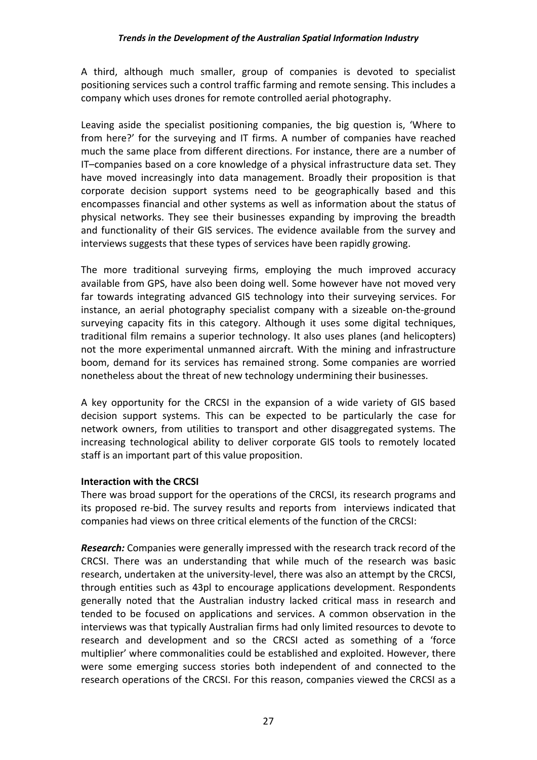A third, although much smaller, group of companies is devoted to specialist positioning services such a control traffic farming and remote sensing. This includes a company which uses drones for remote controlled aerial photography.

Leaving aside the specialist positioning companies, the big question is, 'Where to from here?' for the surveying and IT firms. A number of companies have reached much the same place from different directions. For instance, there are a number of IT–companies based on a core knowledge of a physical infrastructure data set. They have moved increasingly into data management. Broadly their proposition is that corporate decision support systems need to be geographically based and this encompasses financial and other systems as well as information about the status of physical networks. They see their businesses expanding by improving the breadth and functionality of their GIS services. The evidence available from the survey and interviews suggests that these types of services have been rapidly growing.

The more traditional surveying firms, employing the much improved accuracy available from GPS, have also been doing well. Some however have not moved very far towards integrating advanced GIS technology into their surveying services. For instance, an aerial photography specialist company with a sizeable on-the-ground surveying capacity fits in this category. Although it uses some digital techniques, traditional film remains a superior technology. It also uses planes (and helicopters) not the more experimental unmanned aircraft. With the mining and infrastructure boom, demand for its services has remained strong. Some companies are worried nonetheless about the threat of new technology undermining their businesses.

A key opportunity for the CRCSI in the expansion of a wide variety of GIS based decision support systems. This can be expected to be particularly the case for network owners, from utilities to transport and other disaggregated systems. The increasing technological ability to deliver corporate GIS tools to remotely located staff is an important part of this value proposition.

#### **Interaction with the CRCSI**

There was broad support for the operations of the CRCSI, its research programs and its proposed re‐bid. The survey results and reports from interviews indicated that companies had views on three critical elements of the function of the CRCSI:

*Research:* Companies were generally impressed with the research track record of the CRCSI. There was an understanding that while much of the research was basic research, undertaken at the university-level, there was also an attempt by the CRCSI, through entities such as 43pl to encourage applications development. Respondents generally noted that the Australian industry lacked critical mass in research and tended to be focused on applications and services. A common observation in the interviews was that typically Australian firms had only limited resources to devote to research and development and so the CRCSI acted as something of a 'force multiplier' where commonalities could be established and exploited. However, there were some emerging success stories both independent of and connected to the research operations of the CRCSI. For this reason, companies viewed the CRCSI as a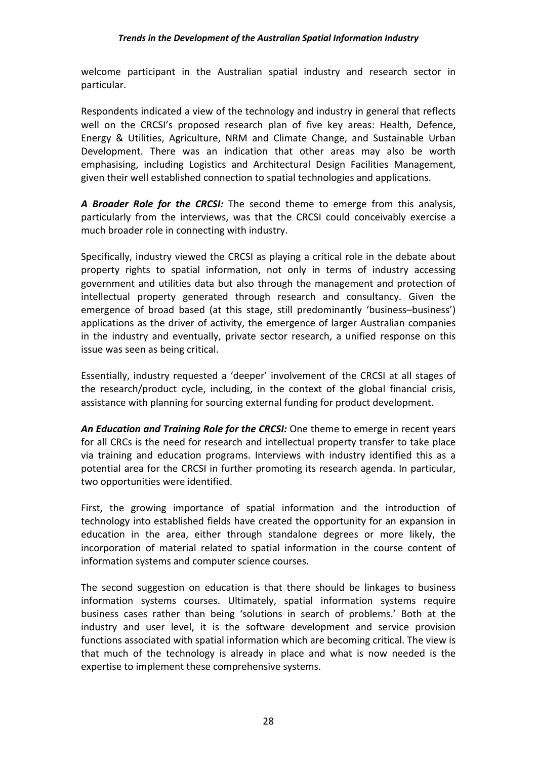welcome participant in the Australian spatial industry and research sector in particular.

Respondents indicated a view of the technology and industry in general that reflects well on the CRCSI's proposed research plan of five key areas: Health, Defence, Energy & Utilities, Agriculture, NRM and Climate Change, and Sustainable Urban Development. There was an indication that other areas may also be worth emphasising, including Logistics and Architectural Design Facilities Management, given their well established connection to spatial technologies and applications.

*A Broader Role for the CRCSI:* The second theme to emerge from this analysis, particularly from the interviews, was that the CRCSI could conceivably exercise a much broader role in connecting with industry.

Specifically, industry viewed the CRCSI as playing a critical role in the debate about property rights to spatial information, not only in terms of industry accessing government and utilities data but also through the management and protection of intellectual property generated through research and consultancy. Given the emergence of broad based (at this stage, still predominantly 'business–business') applications as the driver of activity, the emergence of larger Australian companies in the industry and eventually, private sector research, a unified response on this issue was seen as being critical.

Essentially, industry requested a 'deeper' involvement of the CRCSI at all stages of the research/product cycle, including, in the context of the global financial crisis, assistance with planning for sourcing external funding for product development.

*An Education and Training Role for the CRCSI:* One theme to emerge in recent years for all CRCs is the need for research and intellectual property transfer to take place via training and education programs. Interviews with industry identified this as a potential area for the CRCSI in further promoting its research agenda. In particular, two opportunities were identified.

First, the growing importance of spatial information and the introduction of technology into established fields have created the opportunity for an expansion in education in the area, either through standalone degrees or more likely, the incorporation of material related to spatial information in the course content of information systems and computer science courses.

The second suggestion on education is that there should be linkages to business information systems courses. Ultimately, spatial information systems require business cases rather than being 'solutions in search of problems.' Both at the industry and user level, it is the software development and service provision functions associated with spatial information which are becoming critical. The view is that much of the technology is already in place and what is now needed is the expertise to implement these comprehensive systems.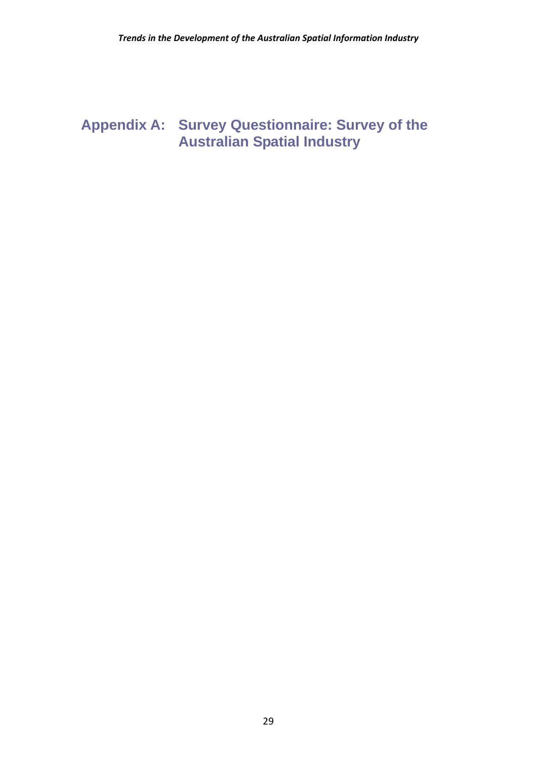## **Appendix A: Survey Questionnaire: Survey of the Australian Spatial Industry**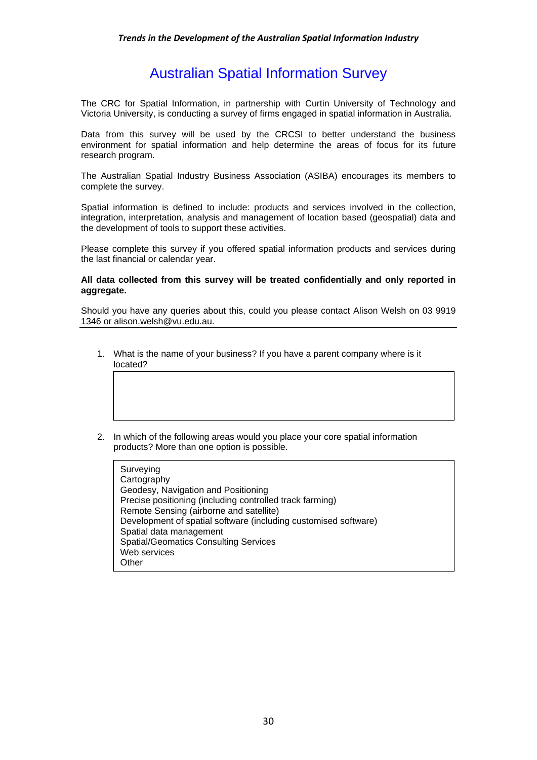## Australian Spatial Information Survey

The CRC for Spatial Information, in partnership with Curtin University of Technology and Victoria University, is conducting a survey of firms engaged in spatial information in Australia.

Data from this survey will be used by the CRCSI to better understand the business environment for spatial information and help determine the areas of focus for its future research program.

The Australian Spatial Industry Business Association (ASIBA) encourages its members to complete the survey.

Spatial information is defined to include: products and services involved in the collection, integration, interpretation, analysis and management of location based (geospatial) data and the development of tools to support these activities.

Please complete this survey if you offered spatial information products and services during the last financial or calendar year.

#### **All data collected from this survey will be treated confidentially and only reported in aggregate.**

Should you have any queries about this, could you please contact Alison Welsh on 03 9919 1346 or alison.welsh@vu.edu.au.

- 1. What is the name of your business? If you have a parent company where is it located?
- 2. In which of the following areas would you place your core spatial information products? More than one option is possible.

| Surveying                                                       |
|-----------------------------------------------------------------|
| Cartography                                                     |
| Geodesy, Navigation and Positioning                             |
| Precise positioning (including controlled track farming)        |
| Remote Sensing (airborne and satellite)                         |
| Development of spatial software (including customised software) |
| Spatial data management                                         |
| <b>Spatial/Geomatics Consulting Services</b>                    |
| Web services                                                    |
| Other                                                           |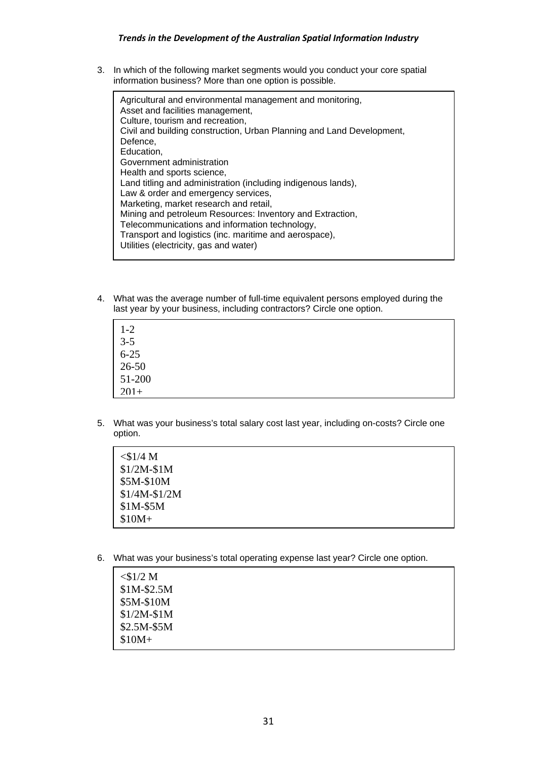#### *Trends in the Development of the Australian Spatial Information Industry*

3. In which of the following market segments would you conduct your core spatial information business? More than one option is possible.

| Agricultural and environmental management and monitoring,<br>Asset and facilities management,<br>Culture, tourism and recreation,<br>Civil and building construction, Urban Planning and Land Development,<br>Defence,<br>Education,<br>Government administration<br>Health and sports science,<br>Land titling and administration (including indigenous lands),<br>Law & order and emergency services,<br>Marketing, market research and retail,<br>Mining and petroleum Resources: Inventory and Extraction,<br>Telecommunications and information technology, |
|------------------------------------------------------------------------------------------------------------------------------------------------------------------------------------------------------------------------------------------------------------------------------------------------------------------------------------------------------------------------------------------------------------------------------------------------------------------------------------------------------------------------------------------------------------------|
| Transport and logistics (inc. maritime and aerospace),<br>Utilities (electricity, gas and water)                                                                                                                                                                                                                                                                                                                                                                                                                                                                 |
|                                                                                                                                                                                                                                                                                                                                                                                                                                                                                                                                                                  |

4. What was the average number of full-time equivalent persons employed during the last year by your business, including contractors? Circle one option.

| $1 - 2$                |  |  |
|------------------------|--|--|
| $3-5$<br>6-25<br>26-50 |  |  |
|                        |  |  |
|                        |  |  |
| 51-200                 |  |  |
| $201+$                 |  |  |

5. What was your business's total salary cost last year, including on-costs? Circle one option.

| $<$ \$1/4 M   |  |  |
|---------------|--|--|
| $$1/2M-S1M$   |  |  |
| \$5M-\$10M    |  |  |
| $$1/4M-S1/2M$ |  |  |
| \$1M-\$5M     |  |  |
| $$10M+$       |  |  |

6. What was your business's total operating expense last year? Circle one option.

| $<$ \$1/2 M |  |  |
|-------------|--|--|
| $$1M-$2.5M$ |  |  |
| \$5M-\$10M  |  |  |
| $$1/2M-S1M$ |  |  |
| $$2.5M-S5M$ |  |  |
| $$10M+$     |  |  |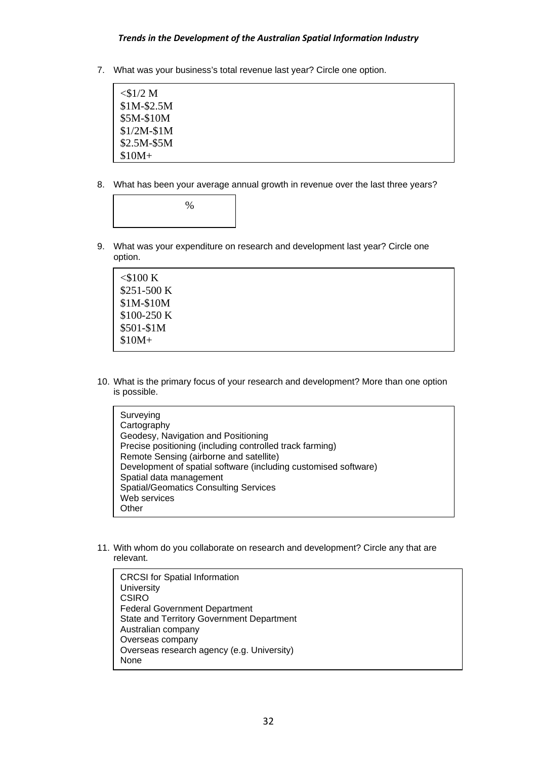#### *Trends in the Development of the Australian Spatial Information Industry*

7. What was your business's total revenue last year? Circle one option.

| $<$ \$1/2 M |  |  |
|-------------|--|--|
| $$1M-$2.5M$ |  |  |
| \$5M-\$10M  |  |  |
| $$1/2M-S1M$ |  |  |
| $$2.5M-S5M$ |  |  |
| $$10M+$     |  |  |
|             |  |  |

8. What has been your average annual growth in revenue over the last three years?

 $\%$ 

9. What was your expenditure on research and development last year? Circle one option.

| $<$ \$100 K  |  |  |
|--------------|--|--|
| $$251-500 K$ |  |  |
| $$1M-$10M$   |  |  |
| $$100-250 K$ |  |  |
| \$501-\$1M   |  |  |
| $$10M+$      |  |  |
|              |  |  |

10. What is the primary focus of your research and development? More than one option is possible.

| Surveying                                                       |
|-----------------------------------------------------------------|
| Cartography                                                     |
| Geodesy, Navigation and Positioning                             |
| Precise positioning (including controlled track farming)        |
| Remote Sensing (airborne and satellite)                         |
| Development of spatial software (including customised software) |
| Spatial data management                                         |
| <b>Spatial/Geomatics Consulting Services</b>                    |
| Web services                                                    |
| Other                                                           |

11. With whom do you collaborate on research and development? Circle any that are relevant.

CRCSI for Spatial Information **University CSIRO** Federal Government Department State and Territory Government Department Australian company Overseas company Overseas research agency (e.g. University) None